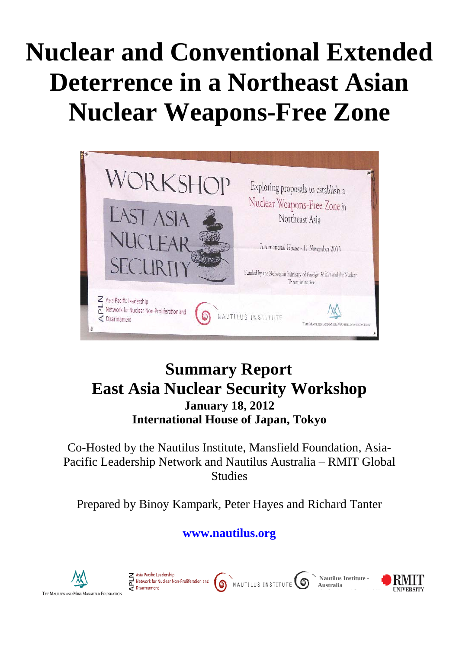# **Nuclear and Conventional Extended Deterrence in a Northeast Asian Nuclear Weapons-Free Zone**



# **Summary Report East Asia Nuclear Security Workshop January 18, 2012 International House of Japan, Tokyo**

Co-Hosted by the Nautilus Institute, Mansfield Foundation, Asia-Pacific Leadership Network and Nautilus Australia – RMIT Global **Studies** 

Prepared by Binoy Kampark, Peter Hayes and Richard Tanter

# **[www.nautilus.org](http://www.nautilus.org/)**

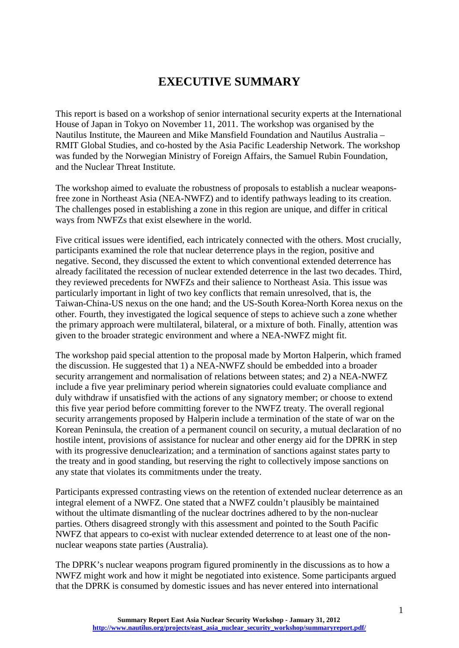# **EXECUTIVE SUMMARY**

<span id="page-1-0"></span>This report is based on a workshop of senior international security experts at the International House of Japan in Tokyo on November 11, 2011. The workshop was organised by the Nautilus Institute, the Maureen and Mike Mansfield Foundation and Nautilus Australia – RMIT Global Studies, and co-hosted by the Asia Pacific Leadership Network. The workshop was funded by the Norwegian Ministry of Foreign Affairs, the Samuel Rubin Foundation, and the Nuclear Threat Institute.

The workshop aimed to evaluate the robustness of proposals to establish a nuclear weaponsfree zone in Northeast Asia (NEA-NWFZ) and to identify pathways leading to its creation. The challenges posed in establishing a zone in this region are unique, and differ in critical ways from NWFZs that exist elsewhere in the world.

Five critical issues were identified, each intricately connected with the others. Most crucially, participants examined the role that nuclear deterrence plays in the region, positive and negative. Second, they discussed the extent to which conventional extended deterrence has already facilitated the recession of nuclear extended deterrence in the last two decades. Third, they reviewed precedents for NWFZs and their salience to Northeast Asia. This issue was particularly important in light of two key conflicts that remain unresolved, that is, the Taiwan-China-US nexus on the one hand; and the US-South Korea-North Korea nexus on the other. Fourth, they investigated the logical sequence of steps to achieve such a zone whether the primary approach were multilateral, bilateral, or a mixture of both. Finally, attention was given to the broader strategic environment and where a NEA-NWFZ might fit.

The workshop paid special attention to the proposal made by Morton Halperin, which framed the discussion. He suggested that 1) a NEA-NWFZ should be embedded into a broader security arrangement and normalisation of relations between states; and 2) a NEA-NWFZ include a five year preliminary period wherein signatories could evaluate compliance and duly withdraw if unsatisfied with the actions of any signatory member; or choose to extend this five year period before committing forever to the NWFZ treaty. The overall regional security arrangements proposed by Halperin include a termination of the state of war on the Korean Peninsula, the creation of a permanent council on security, a mutual declaration of no hostile intent, provisions of assistance for nuclear and other energy aid for the DPRK in step with its progressive denuclearization; and a termination of sanctions against states party to the treaty and in good standing, but reserving the right to collectively impose sanctions on any state that violates its commitments under the treaty.

Participants expressed contrasting views on the retention of extended nuclear deterrence as an integral element of a NWFZ. One stated that a NWFZ couldn't plausibly be maintained without the ultimate dismantling of the nuclear doctrines adhered to by the non-nuclear parties. Others disagreed strongly with this assessment and pointed to the South Pacific NWFZ that appears to co-exist with nuclear extended deterrence to at least one of the nonnuclear weapons state parties (Australia).

The DPRK's nuclear weapons program figured prominently in the discussions as to how a NWFZ might work and how it might be negotiated into existence. Some participants argued that the DPRK is consumed by domestic issues and has never entered into international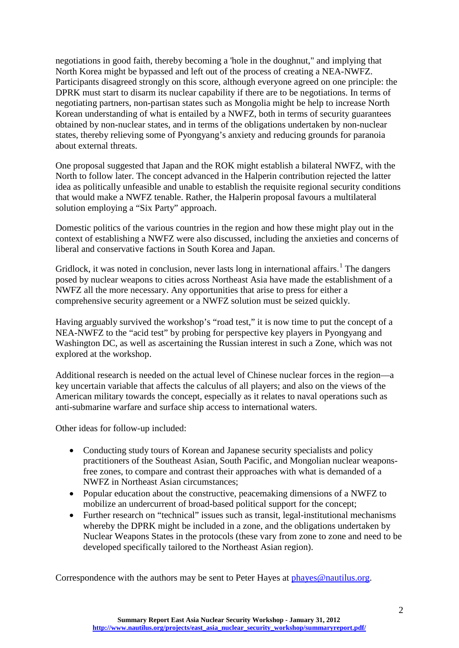negotiations in good faith, thereby becoming a 'hole in the doughnut," and implying that North Korea might be bypassed and left out of the process of creating a NEA-NWFZ. Participants disagreed strongly on this score, although everyone agreed on one principle: the DPRK must start to disarm its nuclear capability if there are to be negotiations. In terms of negotiating partners, non-partisan states such as Mongolia might be help to increase North Korean understanding of what is entailed by a NWFZ, both in terms of security guarantees obtained by non-nuclear states, and in terms of the obligations undertaken by non-nuclear states, thereby relieving some of Pyongyang's anxiety and reducing grounds for paranoia about external threats.

One proposal suggested that Japan and the ROK might establish a bilateral NWFZ, with the North to follow later. The concept advanced in the Halperin contribution rejected the latter idea as politically unfeasible and unable to establish the requisite regional security conditions that would make a NWFZ tenable. Rather, the Halperin proposal favours a multilateral solution employing a "Six Party" approach.

Domestic politics of the various countries in the region and how these might play out in the context of establishing a NWFZ were also discussed, including the anxieties and concerns of liberal and conservative factions in South Korea and Japan.

Gridlock, it was noted in conclusion, never lasts long in international affairs.<sup>[1](#page-26-0)</sup> The dangers posed by nuclear weapons to cities across Northeast Asia have made the establishment of a NWFZ all the more necessary. Any opportunities that arise to press for either a comprehensive security agreement or a NWFZ solution must be seized quickly.

Having arguably survived the workshop's "road test," it is now time to put the concept of a NEA-NWFZ to the "acid test" by probing for perspective key players in Pyongyang and Washington DC, as well as ascertaining the Russian interest in such a Zone, which was not explored at the workshop.

Additional research is needed on the actual level of Chinese nuclear forces in the region—a key uncertain variable that affects the calculus of all players; and also on the views of the American military towards the concept, especially as it relates to naval operations such as anti-submarine warfare and surface ship access to international waters.

Other ideas for follow-up included:

- Conducting study tours of Korean and Japanese security specialists and policy practitioners of the Southeast Asian, South Pacific, and Mongolian nuclear weaponsfree zones, to compare and contrast their approaches with what is demanded of a NWFZ in Northeast Asian circumstances;
- Popular education about the constructive, peacemaking dimensions of a NWFZ to mobilize an undercurrent of broad-based political support for the concept;
- Further research on "technical" issues such as transit, legal-institutional mechanisms whereby the DPRK might be included in a zone, and the obligations undertaken by Nuclear Weapons States in the protocols (these vary from zone to zone and need to be developed specifically tailored to the Northeast Asian region).

Correspondence with the authors may be sent to Peter Hayes at [phayes@nautilus.org.](mailto:phayes@nautilus.org)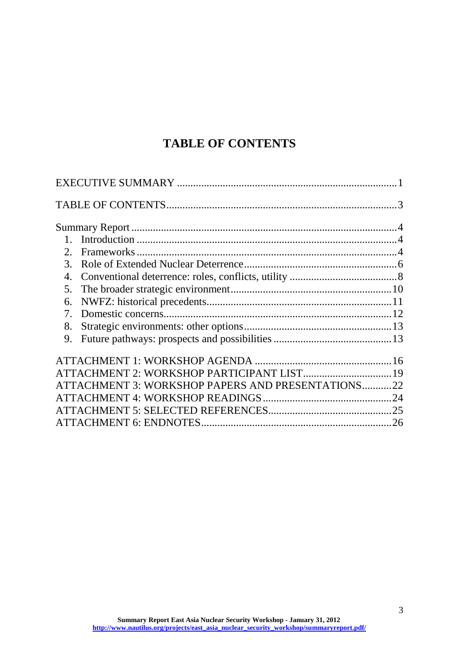# **TABLE OF CONTENTS**

<span id="page-3-0"></span>

| 2.             |                                                   |  |
|----------------|---------------------------------------------------|--|
|                |                                                   |  |
| 4.             |                                                   |  |
| 5 <sub>1</sub> |                                                   |  |
|                |                                                   |  |
| $7_{\cdot}$    |                                                   |  |
| 8.             |                                                   |  |
| 9.             |                                                   |  |
|                |                                                   |  |
|                | ATTACHMENT 2: WORKSHOP PARTICIPANT LIST 19        |  |
|                | ATTACHMENT 3: WORKSHOP PAPERS AND PRESENTATIONS22 |  |
|                |                                                   |  |
|                |                                                   |  |
|                |                                                   |  |
|                |                                                   |  |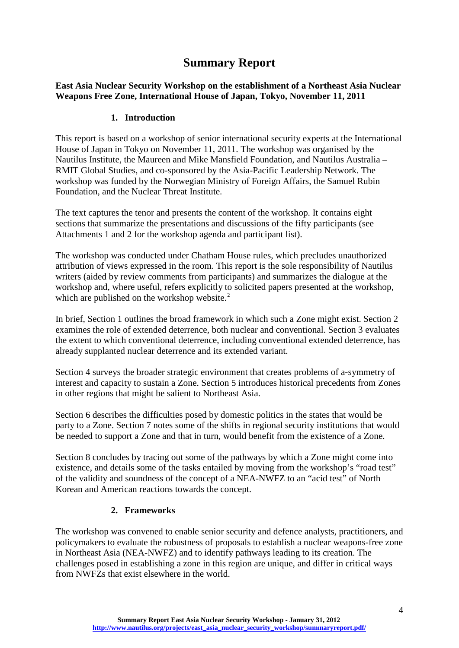# **Summary Report**

<span id="page-4-0"></span>**East Asia Nuclear Security Workshop on the establishment of a Northeast Asia Nuclear Weapons Free Zone, International House of Japan, Tokyo, November 11, 2011**

### **1. Introduction**

<span id="page-4-1"></span>This report is based on a workshop of senior international security experts at the International House of Japan in Tokyo on November 11, 2011. The workshop was organised by the Nautilus Institute, the Maureen and Mike Mansfield Foundation, and Nautilus Australia – RMIT Global Studies, and co-sponsored by the Asia-Pacific Leadership Network. The workshop was funded by the Norwegian Ministry of Foreign Affairs, the Samuel Rubin Foundation, and the Nuclear Threat Institute.

The text captures the tenor and presents the content of the workshop. It contains eight sections that summarize the presentations and discussions of the fifty participants (see Attachments 1 and 2 for the workshop agenda and participant list).

The workshop was conducted under Chatham House rules, which precludes unauthorized attribution of views expressed in the room. This report is the sole responsibility of Nautilus writers (aided by review comments from participants) and summarizes the dialogue at the workshop and, where useful, refers explicitly to solicited papers presented at the workshop, which are published on the workshop website. $2$ 

In brief, Section 1 outlines the broad framework in which such a Zone might exist. Section 2 examines the role of extended deterrence, both nuclear and conventional. Section 3 evaluates the extent to which conventional deterrence, including conventional extended deterrence, has already supplanted nuclear deterrence and its extended variant.

Section 4 surveys the broader strategic environment that creates problems of a-symmetry of interest and capacity to sustain a Zone. Section 5 introduces historical precedents from Zones in other regions that might be salient to Northeast Asia.

Section 6 describes the difficulties posed by domestic politics in the states that would be party to a Zone. Section 7 notes some of the shifts in regional security institutions that would be needed to support a Zone and that in turn, would benefit from the existence of a Zone.

Section 8 concludes by tracing out some of the pathways by which a Zone might come into existence, and details some of the tasks entailed by moving from the workshop's "road test" of the validity and soundness of the concept of a NEA-NWFZ to an "acid test" of North Korean and American reactions towards the concept.

### **2. Frameworks**

<span id="page-4-2"></span>The workshop was convened to enable senior security and defence analysts, practitioners, and policymakers to evaluate the robustness of proposals to establish a nuclear weapons-free zone in Northeast Asia (NEA-NWFZ) and to identify pathways leading to its creation. The challenges posed in establishing a zone in this region are unique, and differ in critical ways from NWFZs that exist elsewhere in the world.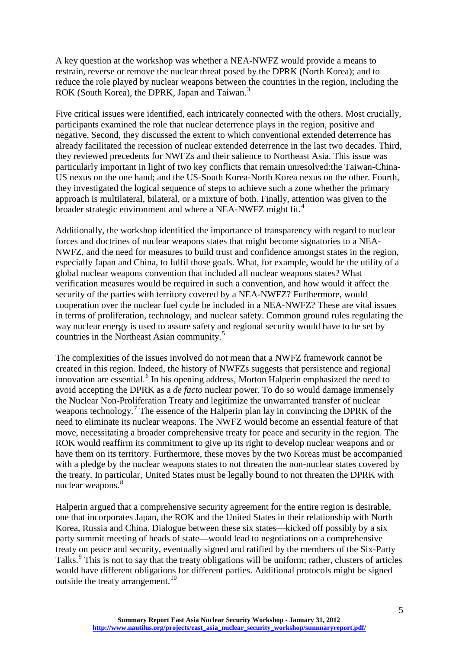A key question at the workshop was whether a NEA-NWFZ would provide a means to restrain, reverse or remove the nuclear threat posed by the DPRK (North Korea); and to reduce the role played by nuclear weapons between the countries in the region, including the ROK (South Korea), the DPRK, Japan and Taiwan.<sup>[3](#page-26-3)</sup>

Five critical issues were identified, each intricately connected with the others. Most crucially, participants examined the role that nuclear deterrence plays in the region, positive and negative. Second, they discussed the extent to which conventional extended deterrence has already facilitated the recession of nuclear extended deterrence in the last two decades. Third, they reviewed precedents for NWFZs and their salience to Northeast Asia. This issue was particularly important in light of two key conflicts that remain unresolved:the Taiwan-China-US nexus on the one hand; and the US-South Korea-North Korea nexus on the other. Fourth, they investigated the logical sequence of steps to achieve such a zone whether the primary approach is multilateral, bilateral, or a mixture of both. Finally, attention was given to the broader strategic environment and where a NEA-NWFZ might fit.<sup>[4](#page-26-4)</sup>

Additionally, the workshop identified the importance of transparency with regard to nuclear forces and doctrines of nuclear weapons states that might become signatories to a NEA-NWFZ, and the need for measures to build trust and confidence amongst states in the region, especially Japan and China, to fulfil those goals. What, for example, would be the utility of a global nuclear weapons convention that included all nuclear weapons states? What verification measures would be required in such a convention, and how would it affect the security of the parties with territory covered by a NEA-NWFZ? Furthermore, would cooperation over the nuclear fuel cycle be included in a NEA-NWFZ? These are vital issues in terms of proliferation, technology, and nuclear safety. Common ground rules regulating the way nuclear energy is used to assure safety and regional security would have to be set by countries in the Northeast Asian community.[5](#page-26-5)

The complexities of the issues involved do not mean that a NWFZ framework cannot be created in this region. Indeed, the history of NWFZs suggests that persistence and regional innovation are essential.<sup>[6](#page-26-6)</sup> In his opening address, Morton Halperin emphasized the need to avoid accepting the DPRK as a *de facto* nuclear power. To do so would damage immensely the Nuclear Non-Proliferation Treaty and legitimize the unwarranted transfer of nuclear weapons technology.<sup>[7](#page-26-7)</sup> The essence of the Halperin plan lay in convincing the DPRK of the need to eliminate its nuclear weapons. The NWFZ would become an essential feature of that move, necessitating a broader comprehensive treaty for peace and security in the region. The ROK would reaffirm its commitment to give up its right to develop nuclear weapons and or have them on its territory. Furthermore, these moves by the two Koreas must be accompanied with a pledge by the nuclear weapons states to not threaten the non-nuclear states covered by the treaty. In particular, United States must be legally bound to not threaten the DPRK with nuclear weapons.<sup>[8](#page-26-8)</sup>

Halperin argued that a comprehensive security agreement for the entire region is desirable, one that incorporates Japan, the ROK and the United States in their relationship with North Korea, Russia and China. Dialogue between these six states—kicked off possibly by a six party summit meeting of heads of state—would lead to negotiations on a comprehensive treaty on peace and security, eventually signed and ratified by the members of the Six-Party Talks.<sup>[9](#page-26-9)</sup> This is not to say that the treaty obligations will be uniform; rather, clusters of articles would have different obligations for different parties. Additional protocols might be signed outside the treaty arrangement.<sup>[10](#page-26-10)</sup>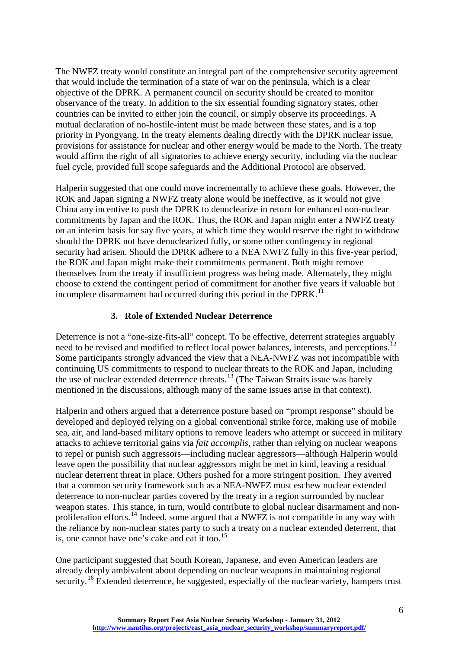The NWFZ treaty would constitute an integral part of the comprehensive security agreement that would include the termination of a state of war on the peninsula, which is a clear objective of the DPRK. A permanent council on security should be created to monitor observance of the treaty. In addition to the six essential founding signatory states, other countries can be invited to either join the council, or simply observe its proceedings. A mutual declaration of no-hostile-intent must be made between these states, and is a top priority in Pyongyang. In the treaty elements dealing directly with the DPRK nuclear issue, provisions for assistance for nuclear and other energy would be made to the North. The treaty would affirm the right of all signatories to achieve energy security, including via the nuclear fuel cycle, provided full scope safeguards and the Additional Protocol are observed.

Halperin suggested that one could move incrementally to achieve these goals. However, the ROK and Japan signing a NWFZ treaty alone would be ineffective, as it would not give China any incentive to push the DPRK to denuclearize in return for enhanced non-nuclear commitments by Japan and the ROK. Thus, the ROK and Japan might enter a NWFZ treaty on an interim basis for say five years, at which time they would reserve the right to withdraw should the DPRK not have denuclearized fully, or some other contingency in regional security had arisen. Should the DPRK adhere to a NEA NWFZ fully in this five-year period, the ROK and Japan might make their commitments permanent. Both might remove themselves from the treaty if insufficient progress was being made. Alternately, they might choose to extend the contingent period of commitment for another five years if valuable but incomplete disarmament had occurred during this period in the DPRK.<sup>[11](#page-26-11)</sup>

### **3. Role of Extended Nuclear Deterrence**

<span id="page-6-0"></span>Deterrence is not a "one-size-fits-all" concept. To be effective, deterrent strategies arguably need to be revised and modified to reflect local power balances, interests, and perceptions.<sup>[12](#page-26-12)</sup> Some participants strongly advanced the view that a NEA-NWFZ was not incompatible with continuing US commitments to respond to nuclear threats to the ROK and Japan, including the use of nuclear extended deterrence threats.<sup>[13](#page-26-13)</sup> (The Taiwan Straits issue was barely mentioned in the discussions, although many of the same issues arise in that context).

Halperin and others argued that a deterrence posture based on "prompt response" should be developed and deployed relying on a global conventional strike force, making use of mobile sea, air, and land-based military options to remove leaders who attempt or succeed in military attacks to achieve territorial gains via *fait accomplis*, rather than relying on nuclear weapons to repel or punish such aggressors—including nuclear aggressors—although Halperin would leave open the possibility that nuclear aggressors might be met in kind, leaving a residual nuclear deterrent threat in place. Others pushed for a more stringent position. They averred that a common security framework such as a NEA-NWFZ must eschew nuclear extended deterrence to non-nuclear parties covered by the treaty in a region surrounded by nuclear weapon states. This stance, in turn, would contribute to global nuclear disarmament and non-proliferation efforts.<sup>[14](#page-26-14)</sup> Indeed, some argued that a NWFZ is not compatible in any way with the reliance by non-nuclear states party to such a treaty on a nuclear extended deterrent, that is, one cannot have one's cake and eat it too.<sup>[15](#page-26-15)</sup>

One participant suggested that South Korean, Japanese, and even American leaders are already deeply ambivalent about depending on nuclear weapons in maintaining regional security.<sup>[16](#page-26-16)</sup> Extended deterrence, he suggested, especially of the nuclear variety, hampers trust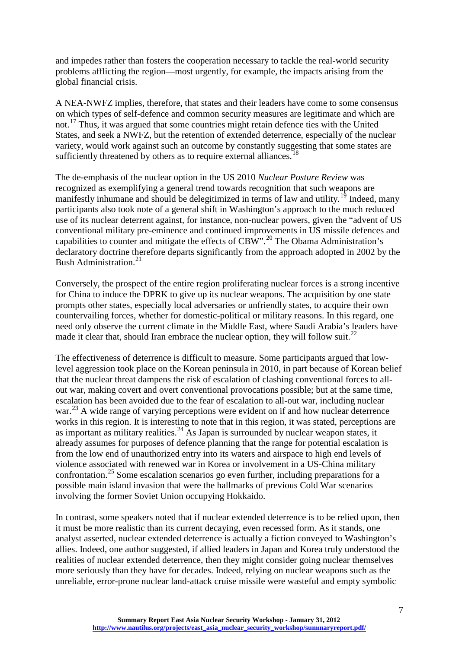and impedes rather than fosters the cooperation necessary to tackle the real-world security problems afflicting the region—most urgently, for example, the impacts arising from the global financial crisis.

A NEA-NWFZ implies, therefore, that states and their leaders have come to some consensus on which types of self-defence and common security measures are legitimate and which are not.<sup>[17](#page-26-17)</sup> Thus, it was argued that some countries might retain defence ties with the United States, and seek a NWFZ, but the retention of extended deterrence, especially of the nuclear variety, would work against such an outcome by constantly suggesting that some states are sufficiently threatened by others as to require external alliances.<sup>[18](#page-26-18)</sup>

The de-emphasis of the nuclear option in the US 2010 *Nuclear Posture Review* was recognized as exemplifying a general trend towards recognition that such weapons are manifestly inhumane and should be delegitimized in terms of law and utility.<sup>[19](#page-26-19)</sup> Indeed, many participants also took note of a general shift in Washington's approach to the much reduced use of its nuclear deterrent against, for instance, non-nuclear powers, given the "advent of US conventional military pre-eminence and continued improvements in US missile defences and capabilities to counter and mitigate the effects of  $CBW$ ".<sup>[20](#page-27-0)</sup> The Obama Administration's declaratory doctrine therefore departs significantly from the approach adopted in 2002 by the Bush Administration.<sup>[21](#page-27-1)</sup>

Conversely, the prospect of the entire region proliferating nuclear forces is a strong incentive for China to induce the DPRK to give up its nuclear weapons. The acquisition by one state prompts other states, especially local adversaries or unfriendly states, to acquire their own countervailing forces, whether for domestic-political or military reasons. In this regard, one need only observe the current climate in the Middle East, where Saudi Arabia's leaders have made it clear that, should Iran embrace the nuclear option, they will follow suit.<sup>[22](#page-27-2)</sup>

The effectiveness of deterrence is difficult to measure. Some participants argued that lowlevel aggression took place on the Korean peninsula in 2010, in part because of Korean belief that the nuclear threat dampens the risk of escalation of clashing conventional forces to allout war, making covert and overt conventional provocations possible; but at the same time, escalation has been avoided due to the fear of escalation to all-out war, including nuclear war.<sup>[23](#page-27-3)</sup> A wide range of varying perceptions were evident on if and how nuclear deterrence works in this region. It is interesting to note that in this region, it was stated, perceptions are as important as military realities.<sup>[24](#page-27-4)</sup> As Japan is surrounded by nuclear weapon states, it already assumes for purposes of defence planning that the range for potential escalation is from the low end of unauthorized entry into its waters and airspace to high end levels of violence associated with renewed war in Korea or involvement in a US-China military confrontation.<sup>[25](#page-27-5)</sup> Some escalation scenarios go even further, including preparations for a possible main island invasion that were the hallmarks of previous Cold War scenarios involving the former Soviet Union occupying Hokkaido.

In contrast, some speakers noted that if nuclear extended deterrence is to be relied upon, then it must be more realistic than its current decaying, even recessed form. As it stands, one analyst asserted, nuclear extended deterrence is actually a fiction conveyed to Washington's allies. Indeed, one author suggested, if allied leaders in Japan and Korea truly understood the realities of nuclear extended deterrence, then they might consider going nuclear themselves more seriously than they have for decades. Indeed, relying on nuclear weapons such as the unreliable, error-prone nuclear land-attack cruise missile were wasteful and empty symbolic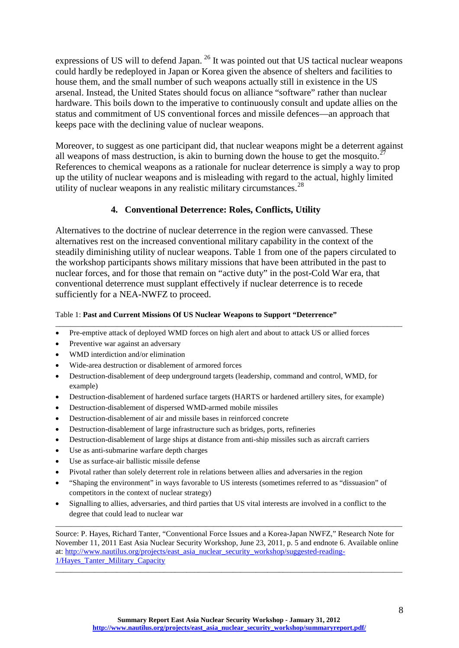expressions of US will to defend Japan. [26](#page-27-6) It was pointed out that US tactical nuclear weapons could hardly be redeployed in Japan or Korea given the absence of shelters and facilities to house them, and the small number of such weapons actually still in existence in the US arsenal. Instead, the United States should focus on alliance "software" rather than nuclear hardware. This boils down to the imperative to continuously consult and update allies on the status and commitment of US conventional forces and missile defences—an approach that keeps pace with the declining value of nuclear weapons.

Moreover, to suggest as one participant did, that nuclear weapons might be a deterrent against all weapons of mass destruction, is akin to burning down the house to get the mosquito.<sup>2</sup> References to chemical weapons as a rationale for nuclear deterrence is simply a way to prop up the utility of nuclear weapons and is misleading with regard to the actual, highly limited utility of nuclear weapons in any realistic military circumstances. $^{28}$  $^{28}$  $^{28}$ 

### **4. Conventional Deterrence: Roles, Conflicts, Utility**

<span id="page-8-0"></span>Alternatives to the doctrine of nuclear deterrence in the region were canvassed. These alternatives rest on the increased conventional military capability in the context of the steadily diminishing utility of nuclear weapons. Table 1 from one of the papers circulated to the workshop participants shows military missions that have been attributed in the past to nuclear forces, and for those that remain on "active duty" in the post-Cold War era, that conventional deterrence must supplant effectively if nuclear deterrence is to recede sufficiently for a NEA-NWFZ to proceed.

\_\_\_\_\_\_\_\_\_\_\_\_\_\_\_\_\_\_\_\_\_\_\_\_\_\_\_\_\_\_\_\_\_\_\_\_\_\_\_\_\_\_\_\_\_\_\_\_\_\_\_\_\_\_\_\_\_\_\_\_\_\_\_\_\_\_\_\_\_\_\_\_\_\_\_\_\_\_\_\_\_\_\_\_\_\_\_\_\_\_

#### Table 1: **Past and Current Missions Of US Nuclear Weapons to Support "Deterrence"**

- Pre-emptive attack of deployed WMD forces on high alert and about to attack US or allied forces
- Preventive war against an adversary
- WMD interdiction and/or elimination
- Wide-area destruction or disablement of armored forces
- Destruction-disablement of deep underground targets (leadership, command and control, WMD, for example)
- Destruction-disablement of hardened surface targets (HARTS or hardened artillery sites, for example)
- Destruction-disablement of dispersed WMD-armed mobile missiles
- Destruction-disablement of air and missile bases in reinforced concrete
- Destruction-disablement of large infrastructure such as bridges, ports, refineries
- Destruction-disablement of large ships at distance from anti-ship missiles such as aircraft carriers
- Use as anti-submarine warfare depth charges
- Use as surface-air ballistic missile defense
- Pivotal rather than solely deterrent role in relations between allies and adversaries in the region
- "Shaping the environment" in ways favorable to US interests (sometimes referred to as "dissuasion" of competitors in the context of nuclear strategy)
- Signalling to allies, adversaries, and third parties that US vital interests are involved in a conflict to the degree that could lead to nuclear war

Source: P. Hayes, Richard Tanter, "Conventional Force Issues and a Korea-Japan NWFZ," Research Note for November 11, 2011 East Asia Nuclear Security Workshop, June 23, 2011, p. 5 and endnote 6. Available online at: [http://www.nautilus.org/projects/east\\_asia\\_nuclear\\_security\\_workshop/suggested-reading-](http://www.nautilus.org/projects/east_asia_nuclear_security_workshop/suggested-reading-1/Hayes_Tanter_Military_Capacity)[1/Hayes\\_Tanter\\_Military\\_Capacity](http://www.nautilus.org/projects/east_asia_nuclear_security_workshop/suggested-reading-1/Hayes_Tanter_Military_Capacity)

\_\_\_\_\_\_\_\_\_\_\_\_\_\_\_\_\_\_\_\_\_\_\_\_\_\_\_\_\_\_\_\_\_\_\_\_\_\_\_\_\_\_\_\_\_\_\_\_\_\_\_\_\_\_\_\_\_\_\_\_\_\_\_\_\_\_\_\_\_\_\_\_\_\_\_\_\_\_\_\_\_\_\_\_\_\_\_\_\_\_

 $\_$  ,  $\_$  ,  $\_$  ,  $\_$  ,  $\_$  ,  $\_$  ,  $\_$  ,  $\_$  ,  $\_$  ,  $\_$  ,  $\_$  ,  $\_$  ,  $\_$  ,  $\_$  ,  $\_$  ,  $\_$  ,  $\_$  ,  $\_$  ,  $\_$  ,  $\_$  ,  $\_$  ,  $\_$  ,  $\_$  ,  $\_$  ,  $\_$  ,  $\_$  ,  $\_$  ,  $\_$  ,  $\_$  ,  $\_$  ,  $\_$  ,  $\_$  ,  $\_$  ,  $\_$  ,  $\_$  ,  $\_$  ,  $\_$  ,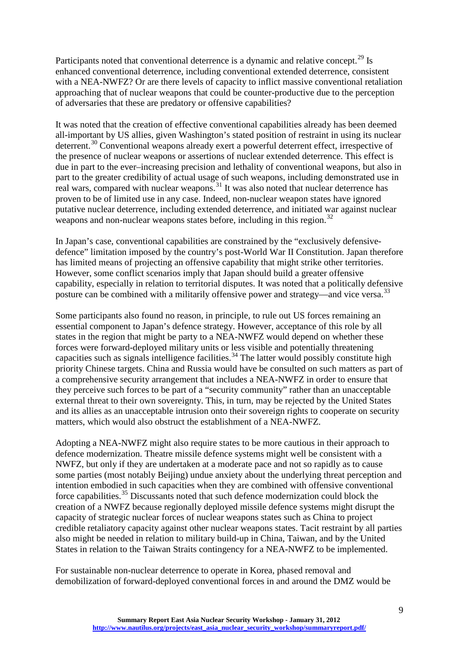Participants noted that conventional deterrence is a dynamic and relative concept.<sup>[29](#page-27-9)</sup> Is enhanced conventional deterrence, including conventional extended deterrence, consistent with a NEA-NWFZ? Or are there levels of capacity to inflict massive conventional retaliation approaching that of nuclear weapons that could be counter-productive due to the perception of adversaries that these are predatory or offensive capabilities?

It was noted that the creation of effective conventional capabilities already has been deemed all-important by US allies, given Washington's stated position of restraint in using its nuclear deterrent.<sup>[30](#page-27-10)</sup> Conventional weapons already exert a powerful deterrent effect, irrespective of the presence of nuclear weapons or assertions of nuclear extended deterrence. This effect is due in part to the ever–increasing precision and lethality of conventional weapons, but also in part to the greater credibility of actual usage of such weapons, including demonstrated use in real wars, compared with nuclear weapons.<sup>[31](#page-27-11)</sup> It was also noted that nuclear deterrence has proven to be of limited use in any case. Indeed, non-nuclear weapon states have ignored putative nuclear deterrence, including extended deterrence, and initiated war against nuclear weapons and non-nuclear weapons states before, including in this region.<sup>[32](#page-27-12)</sup>

In Japan's case, conventional capabilities are constrained by the "exclusively defensivedefence" limitation imposed by the country's post-World War II Constitution. Japan therefore has limited means of projecting an offensive capability that might strike other territories. However, some conflict scenarios imply that Japan should build a greater offensive capability, especially in relation to territorial disputes. It was noted that a politically defensive posture can be combined with a militarily offensive power and strategy—and vice versa.<sup>[33](#page-27-13)</sup>

Some participants also found no reason, in principle, to rule out US forces remaining an essential component to Japan's defence strategy. However, acceptance of this role by all states in the region that might be party to a NEA-NWFZ would depend on whether these forces were forward-deployed military units or less visible and potentially threatening capacities such as signals intelligence facilities.<sup>[34](#page-27-14)</sup> The latter would possibly constitute high priority Chinese targets. China and Russia would have be consulted on such matters as part of a comprehensive security arrangement that includes a NEA-NWFZ in order to ensure that they perceive such forces to be part of a "security community" rather than an unacceptable external threat to their own sovereignty. This, in turn, may be rejected by the United States and its allies as an unacceptable intrusion onto their sovereign rights to cooperate on security matters, which would also obstruct the establishment of a NEA-NWFZ.

Adopting a NEA-NWFZ might also require states to be more cautious in their approach to defence modernization. Theatre missile defence systems might well be consistent with a NWFZ, but only if they are undertaken at a moderate pace and not so rapidly as to cause some parties (most notably Beijing) undue anxiety about the underlying threat perception and intention embodied in such capacities when they are combined with offensive conventional force capabilities.<sup>[35](#page-27-15)</sup> Discussants noted that such defence modernization could block the creation of a NWFZ because regionally deployed missile defence systems might disrupt the capacity of strategic nuclear forces of nuclear weapons states such as China to project credible retaliatory capacity against other nuclear weapons states. Tacit restraint by all parties also might be needed in relation to military build-up in China, Taiwan, and by the United States in relation to the Taiwan Straits contingency for a NEA-NWFZ to be implemented.

For sustainable non-nuclear deterrence to operate in Korea, phased removal and demobilization of forward-deployed conventional forces in and around the DMZ would be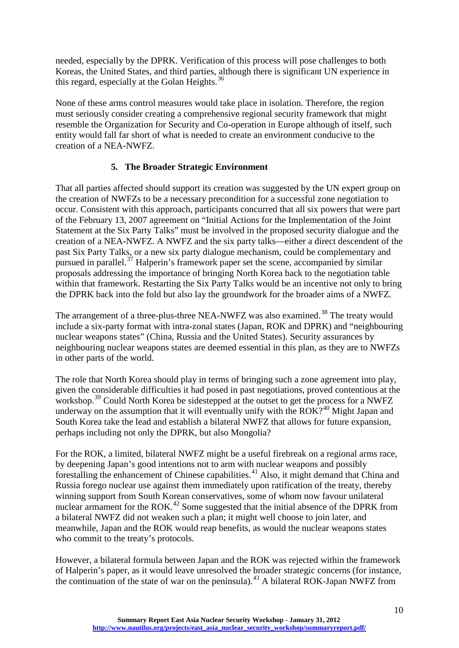needed, especially by the DPRK. Verification of this process will pose challenges to both Koreas, the United States, and third parties, although there is significant UN experience in this regard, especially at the Golan Heights. $36$ 

None of these arms control measures would take place in isolation. Therefore, the region must seriously consider creating a comprehensive regional security framework that might resemble the Organization for Security and Co-operation in Europe although of itself, such entity would fall far short of what is needed to create an environment conducive to the creation of a NEA-NWFZ.

### **5. The Broader Strategic Environment**

<span id="page-10-0"></span>That all parties affected should support its creation was suggested by the UN expert group on the creation of NWFZs to be a necessary precondition for a successful zone negotiation to occur. Consistent with this approach, participants concurred that all six powers that were part of the February 13, 2007 agreement on "Initial Actions for the Implementation of the Joint Statement at the Six Party Talks" must be involved in the proposed security dialogue and the creation of a NEA-NWFZ. A NWFZ and the six party talks—either a direct descendent of the past Six Party Talks, or a new six party dialogue mechanism, could be complementary and pursued in parallel.<sup>[37](#page-27-17)</sup> Halperin's framework paper set the scene, accompanied by similar proposals addressing the importance of bringing North Korea back to the negotiation table within that framework. Restarting the Six Party Talks would be an incentive not only to bring the DPRK back into the fold but also lay the groundwork for the broader aims of a NWFZ.

The arrangement of a three-plus-three NEA-NWFZ was also examined.<sup>[38](#page-27-18)</sup> The treaty would include a six-party format with intra-zonal states (Japan, ROK and DPRK) and "neighbouring nuclear weapons states" (China, Russia and the United States). Security assurances by neighbouring nuclear weapons states are deemed essential in this plan, as they are to NWFZs in other parts of the world.

The role that North Korea should play in terms of bringing such a zone agreement into play, given the considerable difficulties it had posed in past negotiations, proved contentious at the workshop.<sup>[39](#page-27-19)</sup> Could North Korea be sidestepped at the outset to get the process for a NWFZ underway on the assumption that it will eventually unify with the  $ROK<sup>240</sup>$  $ROK<sup>240</sup>$  $ROK<sup>240</sup>$  Might Japan and South Korea take the lead and establish a bilateral NWFZ that allows for future expansion, perhaps including not only the DPRK, but also Mongolia?

For the ROK, a limited, bilateral NWFZ might be a useful firebreak on a regional arms race, by deepening Japan's good intentions not to arm with nuclear weapons and possibly forestalling the enhancement of Chinese capabilities.<sup>[41](#page-27-21)</sup> Also, it might demand that China and Russia forego nuclear use against them immediately upon ratification of the treaty, thereby winning support from South Korean conservatives, some of whom now favour unilateral nuclear armament for the ROK.<sup>[42](#page-28-0)</sup> Some suggested that the initial absence of the DPRK from a bilateral NWFZ did not weaken such a plan; it might well choose to join later, and meanwhile, Japan and the ROK would reap benefits, as would the nuclear weapons states who commit to the treaty's protocols.

However, a bilateral formula between Japan and the ROK was rejected within the framework of Halperin's paper, as it would leave unresolved the broader strategic concerns (for instance, the continuation of the state of war on the peninsula).<sup>[43](#page-28-1)</sup> A bilateral ROK-Japan NWFZ from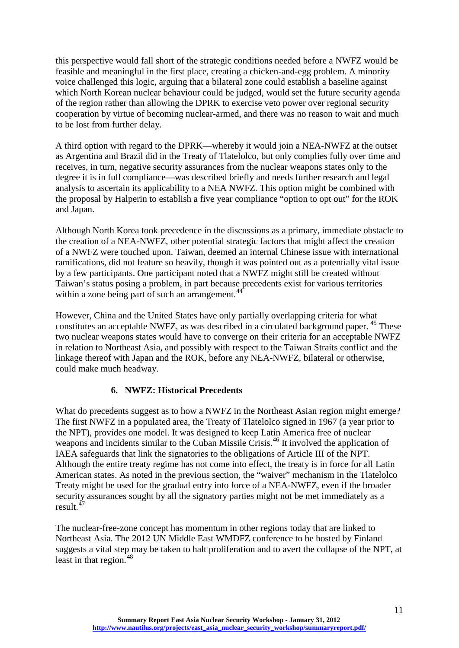this perspective would fall short of the strategic conditions needed before a NWFZ would be feasible and meaningful in the first place, creating a chicken-and-egg problem. A minority voice challenged this logic, arguing that a bilateral zone could establish a baseline against which North Korean nuclear behaviour could be judged, would set the future security agenda of the region rather than allowing the DPRK to exercise veto power over regional security cooperation by virtue of becoming nuclear-armed, and there was no reason to wait and much to be lost from further delay.

A third option with regard to the DPRK—whereby it would join a NEA-NWFZ at the outset as Argentina and Brazil did in the Treaty of Tlatelolco, but only complies fully over time and receives, in turn, negative security assurances from the nuclear weapons states only to the degree it is in full compliance—was described briefly and needs further research and legal analysis to ascertain its applicability to a NEA NWFZ. This option might be combined with the proposal by Halperin to establish a five year compliance "option to opt out" for the ROK and Japan.

Although North Korea took precedence in the discussions as a primary, immediate obstacle to the creation of a NEA-NWFZ, other potential strategic factors that might affect the creation of a NWFZ were touched upon. Taiwan, deemed an internal Chinese issue with international ramifications, did not feature so heavily, though it was pointed out as a potentially vital issue by a few participants. One participant noted that a NWFZ might still be created without Taiwan's status posing a problem, in part because precedents exist for various territories within a zone being part of such an arrangement.<sup>[44](#page-28-2)</sup>

However, China and the United States have only partially overlapping criteria for what constitutes an acceptable NWFZ, as was described in a circulated background paper. [45](#page-28-3) These two nuclear weapons states would have to converge on their criteria for an acceptable NWFZ in relation to Northeast Asia, and possibly with respect to the Taiwan Straits conflict and the linkage thereof with Japan and the ROK, before any NEA-NWFZ, bilateral or otherwise, could make much headway.

## **6. NWFZ: Historical Precedents**

<span id="page-11-0"></span>What do precedents suggest as to how a NWFZ in the Northeast Asian region might emerge? The first NWFZ in a populated area, the Treaty of Tlatelolco signed in 1967 (a year prior to the NPT), provides one model. It was designed to keep Latin America free of nuclear weapons and incidents similar to the Cuban Missile Crisis.<sup>[46](#page-28-4)</sup> It involved the application of IAEA safeguards that link the signatories to the obligations of Article III of the NPT. Although the entire treaty regime has not come into effect, the treaty is in force for all Latin American states. As noted in the previous section, the "waiver" mechanism in the Tlatelolco Treaty might be used for the gradual entry into force of a NEA-NWFZ, even if the broader security assurances sought by all the signatory parties might not be met immediately as a result. $47$ 

The nuclear-free-zone concept has momentum in other regions today that are linked to Northeast Asia. The 2012 UN Middle East WMDFZ conference to be hosted by Finland suggests a vital step may be taken to halt proliferation and to avert the collapse of the NPT, at least in that region.<sup>[48](#page-28-6)</sup>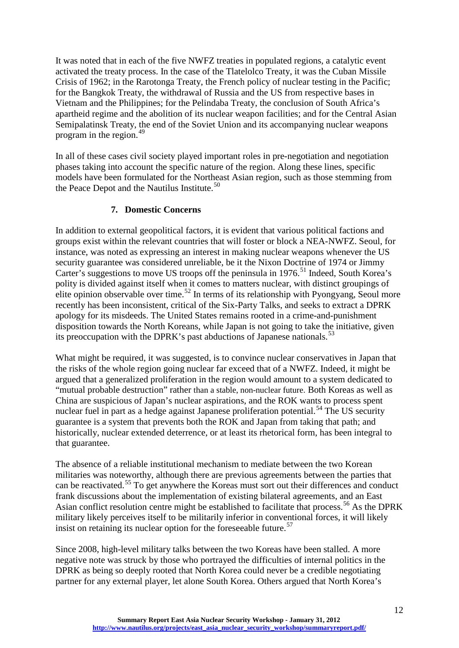It was noted that in each of the five NWFZ treaties in populated regions, a catalytic event activated the treaty process. In the case of the Tlatelolco Treaty, it was the Cuban Missile Crisis of 1962; in the Rarotonga Treaty, the French policy of nuclear testing in the Pacific; for the Bangkok Treaty, the withdrawal of Russia and the US from respective bases in Vietnam and the Philippines; for the Pelindaba Treaty, the conclusion of South Africa's apartheid regime and the abolition of its nuclear weapon facilities; and for the Central Asian Semipalatinsk Treaty, the end of the Soviet Union and its accompanying nuclear weapons program in the region. $49$ 

In all of these cases civil society played important roles in pre-negotiation and negotiation phases taking into account the specific nature of the region. Along these lines, specific models have been formulated for the Northeast Asian region, such as those stemming from the Peace Depot and the Nautilus Institute.<sup>[50](#page-28-8)</sup>

### **7. Domestic Concerns**

<span id="page-12-0"></span>In addition to external geopolitical factors, it is evident that various political factions and groups exist within the relevant countries that will foster or block a NEA-NWFZ. Seoul, for instance, was noted as expressing an interest in making nuclear weapons whenever the US security guarantee was considered unreliable, be it the Nixon Doctrine of 1974 or Jimmy Carter's suggestions to move US troops off the peninsula in 1976.<sup>[51](#page-28-9)</sup> Indeed, South Korea's polity is divided against itself when it comes to matters nuclear, with distinct groupings of elite opinion observable over time.<sup>[52](#page-28-10)</sup> In terms of its relationship with Pyongyang, Seoul more recently has been inconsistent, critical of the Six-Party Talks, and seeks to extract a DPRK apology for its misdeeds. The United States remains rooted in a crime-and-punishment disposition towards the North Koreans, while Japan is not going to take the initiative, given its preoccupation with the DPRK's past abductions of Japanese nationals.<sup>[53](#page-28-11)</sup>

What might be required, it was suggested, is to convince nuclear conservatives in Japan that the risks of the whole region going nuclear far exceed that of a NWFZ. Indeed, it might be argued that a generalized proliferation in the region would amount to a system dedicated to "mutual probable destruction" rather than a stable, non-nuclear future. Both Koreas as well as China are suspicious of Japan's nuclear aspirations, and the ROK wants to process spent nuclear fuel in part as a hedge against Japanese proliferation potential.<sup>[54](#page-28-12)</sup> The US security guarantee is a system that prevents both the ROK and Japan from taking that path; and historically, nuclear extended deterrence, or at least its rhetorical form, has been integral to that guarantee.

The absence of a reliable institutional mechanism to mediate between the two Korean militaries was noteworthy, although there are previous agreements between the parties that can be reactivated.[55](#page-28-13) To get anywhere the Koreas must sort out their differences and conduct frank discussions about the implementation of existing bilateral agreements, and an East Asian conflict resolution centre might be established to facilitate that process.<sup>[56](#page-28-14)</sup> As the DPRK military likely perceives itself to be militarily inferior in conventional forces, it will likely insist on retaining its nuclear option for the foreseeable future.<sup>[57](#page-28-15)</sup>

Since 2008, high-level military talks between the two Koreas have been stalled. A more negative note was struck by those who portrayed the difficulties of internal politics in the DPRK as being so deeply rooted that North Korea could never be a credible negotiating partner for any external player, let alone South Korea. Others argued that North Korea's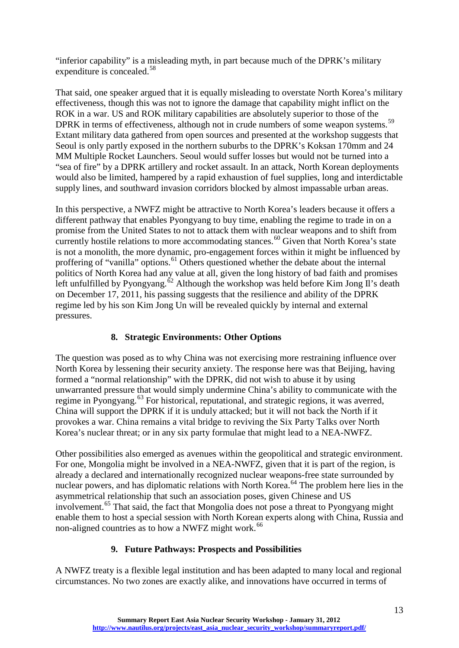"inferior capability" is a misleading myth, in part because much of the DPRK's military expenditure is concealed.<sup>[58](#page-28-16)</sup>

That said, one speaker argued that it is equally misleading to overstate North Korea's military effectiveness, though this was not to ignore the damage that capability might inflict on the ROK in a war. US and ROK military capabilities are absolutely superior to those of the DPRK in terms of effectiveness, although not in crude numbers of some weapon systems.<sup>[59](#page-28-17)</sup> Extant military data gathered from open sources and presented at the workshop suggests that Seoul is only partly exposed in the northern suburbs to the DPRK's Koksan 170mm and 24 MM Multiple Rocket Launchers. Seoul would suffer losses but would not be turned into a "sea of fire" by a DPRK artillery and rocket assault. In an attack, North Korean deployments would also be limited, hampered by a rapid exhaustion of fuel supplies, long and interdictable supply lines, and southward invasion corridors blocked by almost impassable urban areas.

In this perspective, a NWFZ might be attractive to North Korea's leaders because it offers a different pathway that enables Pyongyang to buy time, enabling the regime to trade in on a promise from the United States to not to attack them with nuclear weapons and to shift from currently hostile relations to more accommodating stances.<sup>[60](#page-28-18)</sup> Given that North Korea's state is not a monolith, the more dynamic, pro-engagement forces within it might be influenced by proffering of "vanilla" options.<sup>[61](#page-29-0)</sup> Others questioned whether the debate about the internal politics of North Korea had any value at all, given the long history of bad faith and promises left unfulfilled by Pyongyang.<sup> $\delta$ 2</sup> Although the workshop was held before Kim Jong Il's death on December 17, 2011, his passing suggests that the resilience and ability of the DPRK regime led by his son Kim Jong Un will be revealed quickly by internal and external pressures.

## **8. Strategic Environments: Other Options**

<span id="page-13-0"></span>The question was posed as to why China was not exercising more restraining influence over North Korea by lessening their security anxiety. The response here was that Beijing, having formed a "normal relationship" with the DPRK, did not wish to abuse it by using unwarranted pressure that would simply undermine China's ability to communicate with the regime in Pyongyang.<sup>[63](#page-29-2)</sup> For historical, reputational, and strategic regions, it was averred, China will support the DPRK if it is unduly attacked; but it will not back the North if it provokes a war. China remains a vital bridge to reviving the Six Party Talks over North Korea's nuclear threat; or in any six party formulae that might lead to a NEA-NWFZ.

Other possibilities also emerged as avenues within the geopolitical and strategic environment. For one, Mongolia might be involved in a NEA-NWFZ, given that it is part of the region, is already a declared and internationally recognized nuclear weapons-free state surrounded by nuclear powers, and has diplomatic relations with North Korea.<sup>[64](#page-29-3)</sup> The problem here lies in the asymmetrical relationship that such an association poses, given Chinese and US involvement.[65](#page-29-4) That said, the fact that Mongolia does not pose a threat to Pyongyang might enable them to host a special session with North Korean experts along with China, Russia and non-aligned countries as to how a NWFZ might work.<sup>[66](#page-29-5)</sup>

## **9. Future Pathways: Prospects and Possibilities**

<span id="page-13-1"></span>A NWFZ treaty is a flexible legal institution and has been adapted to many local and regional circumstances. No two zones are exactly alike, and innovations have occurred in terms of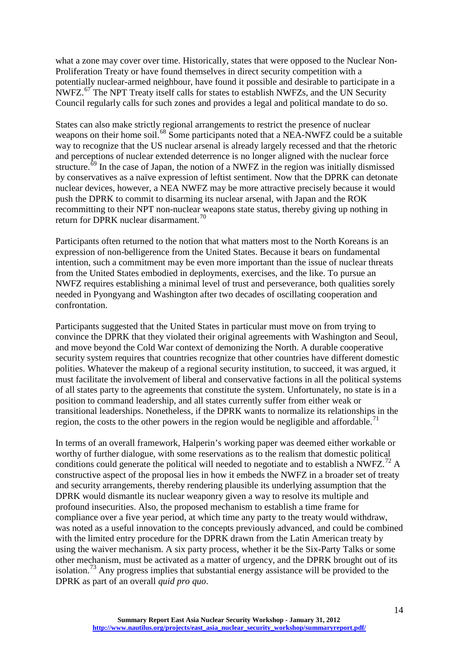what a zone may cover over time. Historically, states that were opposed to the Nuclear Non-Proliferation Treaty or have found themselves in direct security competition with a potentially nuclear-armed neighbour, have found it possible and desirable to participate in a NWFZ.<sup>[67](#page-29-6)</sup> The NPT Treaty itself calls for states to establish NWFZs, and the UN Security Council regularly calls for such zones and provides a legal and political mandate to do so.

States can also make strictly regional arrangements to restrict the presence of nuclear weapons on their home soil.<sup>[68](#page-29-7)</sup> Some participants noted that a NEA-NWFZ could be a suitable way to recognize that the US nuclear arsenal is already largely recessed and that the rhetoric and perceptions of nuclear extended deterrence is no longer aligned with the nuclear force structure.<sup> $59$ </sup> In the case of Japan, the notion of a NWFZ in the region was initially dismissed by conservatives as a naïve expression of leftist sentiment. Now that the DPRK can detonate nuclear devices, however, a NEA NWFZ may be more attractive precisely because it would push the DPRK to commit to disarming its nuclear arsenal, with Japan and the ROK recommitting to their NPT non-nuclear weapons state status, thereby giving up nothing in return for DPRK nuclear disarmament.<sup>[70](#page-29-9)</sup>

Participants often returned to the notion that what matters most to the North Koreans is an expression of non-belligerence from the United States. Because it bears on fundamental intention, such a commitment may be even more important than the issue of nuclear threats from the United States embodied in deployments, exercises, and the like. To pursue an NWFZ requires establishing a minimal level of trust and perseverance, both qualities sorely needed in Pyongyang and Washington after two decades of oscillating cooperation and confrontation.

Participants suggested that the United States in particular must move on from trying to convince the DPRK that they violated their original agreements with Washington and Seoul, and move beyond the Cold War context of demonizing the North. A durable cooperative security system requires that countries recognize that other countries have different domestic polities. Whatever the makeup of a regional security institution, to succeed, it was argued, it must facilitate the involvement of liberal and conservative factions in all the political systems of all states party to the agreements that constitute the system. Unfortunately, no state is in a position to command leadership, and all states currently suffer from either weak or transitional leaderships. Nonetheless, if the DPRK wants to normalize its relationships in the region, the costs to the other powers in the region would be negligible and affordable.<sup>[71](#page-29-10)</sup>

In terms of an overall framework, Halperin's working paper was deemed either workable or worthy of further dialogue, with some reservations as to the realism that domestic political conditions could generate the political will needed to negotiate and to establish a NWFZ.<sup>[72](#page-29-11)</sup> A constructive aspect of the proposal lies in how it embeds the NWFZ in a broader set of treaty and security arrangements, thereby rendering plausible its underlying assumption that the DPRK would dismantle its nuclear weaponry given a way to resolve its multiple and profound insecurities. Also, the proposed mechanism to establish a time frame for compliance over a five year period, at which time any party to the treaty would withdraw, was noted as a useful innovation to the concepts previously advanced, and could be combined with the limited entry procedure for the DPRK drawn from the Latin American treaty by using the waiver mechanism. A six party process, whether it be the Six-Party Talks or some other mechanism, must be activated as a matter of urgency, and the DPRK brought out of its isolation.<sup>[73](#page-29-12)</sup> Any progress implies that substantial energy assistance will be provided to the DPRK as part of an overall *quid pro quo*.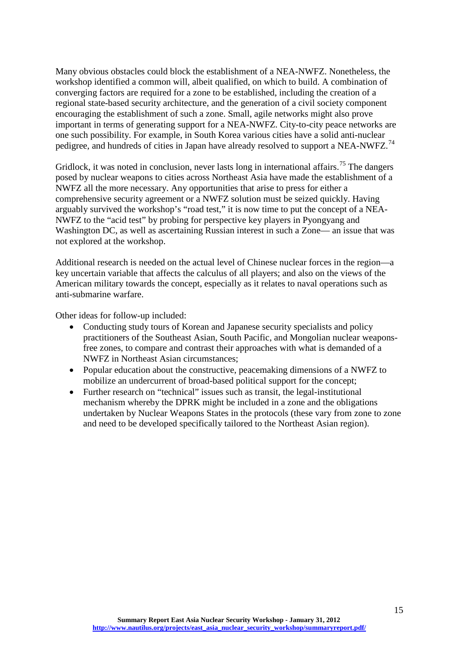Many obvious obstacles could block the establishment of a NEA-NWFZ. Nonetheless, the workshop identified a common will, albeit qualified, on which to build. A combination of converging factors are required for a zone to be established, including the creation of a regional state-based security architecture, and the generation of a civil society component encouraging the establishment of such a zone. Small, agile networks might also prove important in terms of generating support for a NEA-NWFZ. City-to-city peace networks are one such possibility. For example, in South Korea various cities have a solid anti-nuclear pedigree, and hundreds of cities in Japan have already resolved to support a NEA-NWFZ.<sup>[74](#page-29-13)</sup>

Gridlock, it was noted in conclusion, never lasts long in international affairs.<sup>[75](#page-29-14)</sup> The dangers posed by nuclear weapons to cities across Northeast Asia have made the establishment of a NWFZ all the more necessary. Any opportunities that arise to press for either a comprehensive security agreement or a NWFZ solution must be seized quickly. Having arguably survived the workshop's "road test," it is now time to put the concept of a NEA-NWFZ to the "acid test" by probing for perspective key players in Pyongyang and Washington DC, as well as ascertaining Russian interest in such a Zone— an issue that was not explored at the workshop.

Additional research is needed on the actual level of Chinese nuclear forces in the region—a key uncertain variable that affects the calculus of all players; and also on the views of the American military towards the concept, especially as it relates to naval operations such as anti-submarine warfare.

Other ideas for follow-up included:

- Conducting study tours of Korean and Japanese security specialists and policy practitioners of the Southeast Asian, South Pacific, and Mongolian nuclear weaponsfree zones, to compare and contrast their approaches with what is demanded of a NWFZ in Northeast Asian circumstances;
- Popular education about the constructive, peacemaking dimensions of a NWFZ to mobilize an undercurrent of broad-based political support for the concept;
- Further research on "technical" issues such as transit, the legal-institutional mechanism whereby the DPRK might be included in a zone and the obligations undertaken by Nuclear Weapons States in the protocols (these vary from zone to zone and need to be developed specifically tailored to the Northeast Asian region).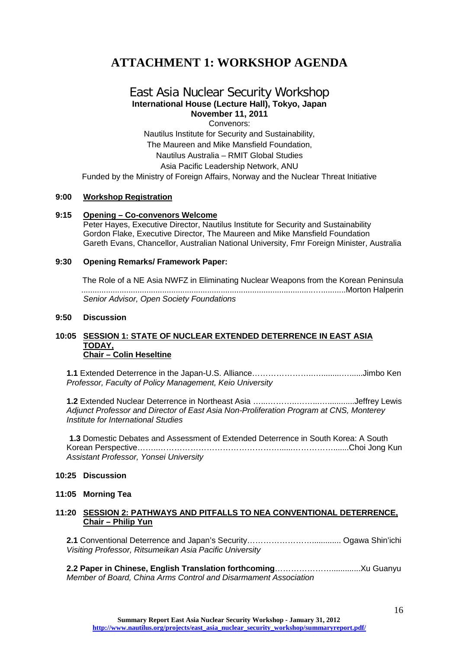# <span id="page-16-0"></span>**ATTACHMENT 1: WORKSHOP AGENDA**

### East Asia Nuclear Security Workshop **International House (Lecture Hall), Tokyo, Japan November 11, 2011**

Convenors:

Nautilus Institute for Security and Sustainability, The Maureen and Mike Mansfield Foundation, Nautilus Australia – RMIT Global Studies Asia Pacific Leadership Network, ANU

Funded by the Ministry of Foreign Affairs, Norway and the Nuclear Threat Initiative

#### **9:00 Workshop Registration**

#### **9:15 Opening – Co-convenors Welcome**

Peter Hayes, Executive Director, Nautilus Institute for Security and Sustainability Gordon Flake, Executive Director, The Maureen and Mike Mansfield Foundation Gareth Evans, Chancellor, Australian National University, Fmr Foreign Minister, Australia

#### **9:30 Opening Remarks/ Framework Paper:**

The Role of a NE Asia NWFZ in Eliminating Nuclear Weapons from the Korean Peninsula .......................................................................................................…...........Morton Halperin *Senior Advisor, Open Society Foundations*

#### **9:50 Discussion**

#### **10:05 SESSION 1: STATE OF NUCLEAR EXTENDED DETERRENCE IN EAST ASIA TODAY, Chair – Colin Heseltine**

**1.1** Extended Deterrence in the Japan-U.S. Alliance…………………..….........…......Jimbo Ken *Professor, Faculty of Policy Management, Keio University*

**1.2** Extended Nuclear Deterrence in Northeast Asia …...………..……...…............Jeffrey Lewis *Adjunct Professor and Director of East Asia Non-Proliferation Program at CNS, Monterey Institute for International Studies*

**1.3** Domestic Debates and Assessment of Extended Deterrence in South Korea: A South Korean Perspective……..………………………………………......…………….......Choi Jong Kun *Assistant Professor, Yonsei University*

#### **10:25 Discussion**

#### **11:05 Morning Tea**

#### **11:20 SESSION 2: PATHWAYS AND PITFALLS TO NEA CONVENTIONAL DETERRENCE, Chair – Philip Yun**

**2.1** Conventional Deterrence and Japan's Security……………………............. Ogawa Shin'ichi *Visiting Professor, Ritsumeikan Asia Pacific University*

**2.2 Paper in Chinese, English Translation forthcoming**………………….............Xu Guanyu *Member of Board, China Arms Control and Disarmament Association*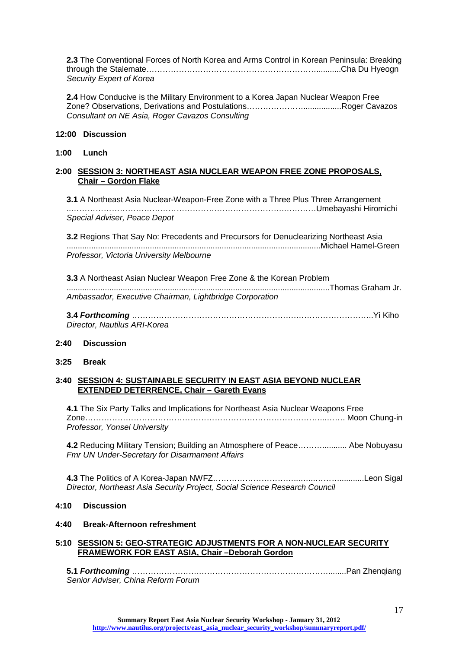**2.3** The Conventional Forces of North Korea and Arms Control in Korean Peninsula: Breaking through the Stalemate………………………………………………………...........Cha Du Hyeogn *Security Expert of Korea*

**2.4** How Conducive is the Military Environment to a Korea Japan Nuclear Weapon Free Zone? Observations, Derivations and Postulations………………….................Roger Cavazos *Consultant on NE Asia, Roger Cavazos Consulting*

#### **12:00 Discussion**

#### **1:00 Lunch**

#### **2:00 SESSION 3: NORTHEAST ASIA NUCLEAR WEAPON FREE ZONE PROPOSALS, Chair – Gordon Flake**

**3.1** A Northeast Asia Nuclear-Weapon-Free Zone with a Three Plus Three Arrangement ..…………………………………………………………………….…………Umebayashi Hiromichi *Special Adviser, Peace Depot*

**3.2** Regions That Say No: Precedents and Precursors for Denuclearizing Northeast Asia .................................................................................................................Michael Hamel-Green *Professor, Victoria University Melbourne*

**3.3** A Northeast Asian Nuclear Weapon Free Zone & the Korean Problem .....................................................................................................................Thomas Graham Jr. *Ambassador, Executive Chairman, Lightbridge Corporation*

**3.4** *Forthcoming* …………………………………………………….………………………..Yi Kiho *Director, Nautilus ARI-Korea*

#### **2:40 Discussion**

**3:25 Break**

#### **3:40 SESSION 4: SUSTAINABLE SECURITY IN EAST ASIA BEYOND NUCLEAR EXTENDED DETERRENCE, Chair – Gareth Evans**

**4.1** The Six Party Talks and Implications for Northeast Asia Nuclear Weapons Free Zone……………………………………………………………………………...……. Moon Chung-in *Professor, Yonsei University*

**4.2** Reducing Military Tension; Building an Atmosphere of Peace………........... Abe Nobuyasu *Fmr UN Under-Secretary for Disarmament Affairs*

**4.3** The Politics of A Korea-Japan NWFZ…………………………...…...………...........Leon Sigal *Director, Northeast Asia Security Project, Social Science Research Council*

#### **4:10 Discussion**

#### **4:40 Break-Afternoon refreshment**

#### **5:10 SESSION 5: GEO-STRATEGIC ADJUSTMENTS FOR A NON-NUCLEAR SECURITY FRAMEWORK FOR EAST ASIA, Chair –Deborah Gordon**

**5.1** *Forthcoming* …………………….…………………………………………........Pan Zhenqiang *Senior Adviser, China Reform Forum*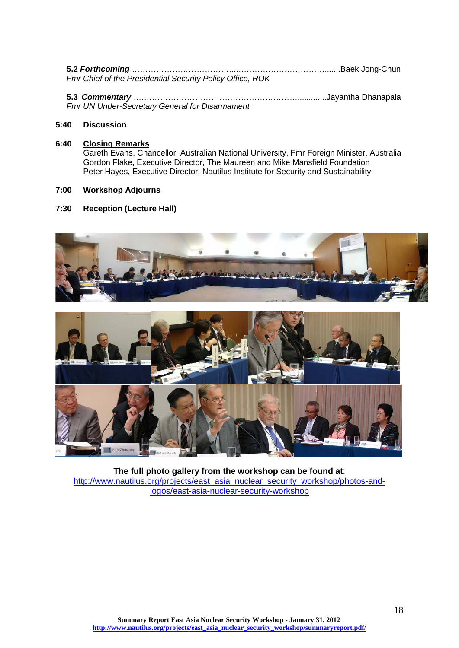| 5.2 <i>Forthcoming ………………………………………………………………</i> …………Baek Jong-Chun |  |
|--------------------------------------------------------------------|--|
| Fmr Chief of the Presidential Security Policy Office, ROK          |  |

**5.3** *Commentary* ….………………………………………………….............Jayantha Dhanapala *Fmr UN Under-Secretary General for Disarmament*

#### **5:40 Discussion**

#### **6:40 Closing Remarks**

Gareth Evans, Chancellor, Australian National University, Fmr Foreign Minister, Australia Gordon Flake, Executive Director, The Maureen and Mike Mansfield Foundation Peter Hayes, Executive Director, Nautilus Institute for Security and Sustainability

#### **7:00 Workshop Adjourns**

#### **7:30 Reception (Lecture Hall)**





**The full photo gallery from the workshop can be found at**: [http://www.nautilus.org/projects/east\\_asia\\_nuclear\\_security\\_workshop/photos-and](http://www.nautilus.org/projects/east_asia_nuclear_security_workshop/photos-and-logos/east-asia-nuclear-security-workshop)[logos/east-asia-nuclear-security-workshop](http://www.nautilus.org/projects/east_asia_nuclear_security_workshop/photos-and-logos/east-asia-nuclear-security-workshop)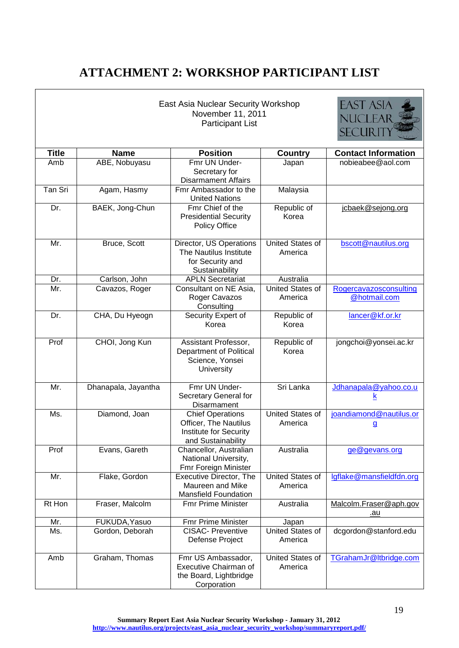# <span id="page-19-0"></span>**ATTACHMENT 2: WORKSHOP PARTICIPANT LIST**

|              |                     | East Asia Nuclear Security Workshop<br>November 11, 2011<br><b>Participant List</b>              |                                    | EAST ASIA<br><b>NUCLEAI</b><br><b>SECURITY</b> |
|--------------|---------------------|--------------------------------------------------------------------------------------------------|------------------------------------|------------------------------------------------|
| <b>Title</b> | <b>Name</b>         | <b>Position</b>                                                                                  | <b>Country</b>                     | <b>Contact Information</b>                     |
| Amb          | ABE, Nobuyasu       | Fmr UN Under-<br>Secretary for<br><b>Disarmament Affairs</b>                                     | Japan                              | nobieabee@aol.com                              |
| Tan Sri      | Agam, Hasmy         | Fmr Ambassador to the<br><b>United Nations</b>                                                   | Malaysia                           |                                                |
| Dr.          | BAEK, Jong-Chun     | Fmr Chief of the<br><b>Presidential Security</b><br><b>Policy Office</b>                         | Republic of<br>Korea               | jcbaek@sejong.org                              |
| Mr.          | Bruce, Scott        | Director, US Operations<br>The Nautilus Institute<br>for Security and<br>Sustainability          | United States of<br>America        | bscott@nautilus.org                            |
| Dr.          | Carlson, John       | <b>APLN Secretariat</b>                                                                          | Australia                          |                                                |
| Mr.          | Cavazos, Roger      | Consultant on NE Asia,<br>Roger Cavazos<br>Consulting                                            | United States of<br>America        | Rogercavazosconsulting<br>@hotmail.com         |
| Dr.          | CHA, Du Hyeogn      | Security Expert of<br>Korea                                                                      | Republic of<br>Korea               | lancer@kf.or.kr                                |
| Prof         | CHOI, Jong Kun      | Assistant Professor,<br>Department of Political<br>Science, Yonsei<br>University                 | Republic of<br>Korea               | jongchoi@yonsei.ac.kr                          |
| Mr.          | Dhanapala, Jayantha | Fmr UN Under-<br>Secretary General for<br>Disarmament                                            | Sri Lanka                          | Jdhanapala@yahoo.co.u<br>ĸ                     |
| Ms.          | Diamond, Joan       | <b>Chief Operations</b><br>Officer, The Nautilus<br>Institute for Security<br>and Sustainability | <b>United States of</b><br>America | joandiamond@nautilus.or<br>$\mathbf{g}$        |
| Prof         | Evans, Gareth       | Chancellor, Australian<br>National University,<br>Fmr Foreign Minister                           | Australia                          | ge@gevans.org                                  |
| Mr.          | Flake, Gordon       | Executive Director, The<br>Maureen and Mike<br><b>Mansfield Foundation</b>                       | <b>United States of</b><br>America | lgflake@mansfieldfdn.org                       |
| Rt Hon       | Fraser, Malcolm     | <b>Fmr Prime Minister</b>                                                                        | Australia                          | Malcolm.Fraser@aph.gov<br>.au                  |
| Mr.          | FUKUDA, Yasuo       | Fmr Prime Minister                                                                               | Japan                              |                                                |
| Ms.          | Gordon, Deborah     | <b>CISAC- Preventive</b><br>Defense Project                                                      | United States of<br>America        | dcgordon@stanford.edu                          |
| Amb          | Graham, Thomas      | Fmr US Ambassador,<br><b>Executive Chairman of</b><br>the Board, Lightbridge<br>Corporation      | <b>United States of</b><br>America | TGrahamJr@ltbridge.com                         |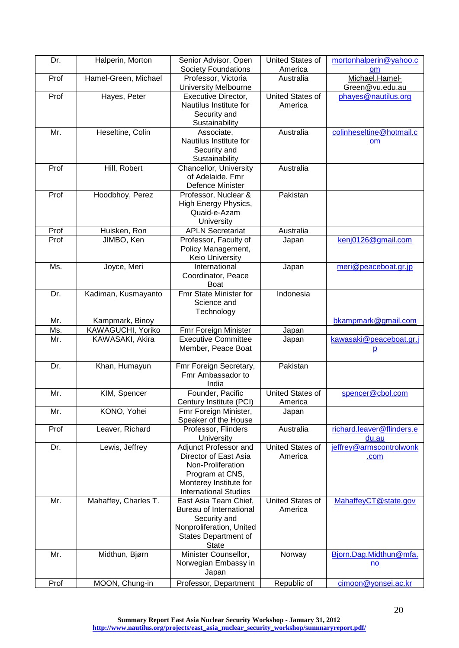| Dr.  | Halperin, Morton     | Senior Advisor, Open                               | United States of | mortonhalperin@yahoo.c            |
|------|----------------------|----------------------------------------------------|------------------|-----------------------------------|
|      |                      | <b>Society Foundations</b>                         | America          | om                                |
| Prof | Hamel-Green, Michael | Professor, Victoria<br><b>University Melbourne</b> | Australia        | Michael.Hamel-<br>Green@vu.edu.au |
| Prof | Hayes, Peter         | Executive Director,                                | United States of | phayes@nautilus.org               |
|      |                      | Nautilus Institute for                             | America          |                                   |
|      |                      | Security and                                       |                  |                                   |
|      |                      | Sustainability                                     |                  |                                   |
| Mr.  | Heseltine, Colin     | Associate,                                         | Australia        | colinheseltine@hotmail.c          |
|      |                      | Nautilus Institute for                             |                  |                                   |
|      |                      |                                                    |                  | om                                |
|      |                      | Security and                                       |                  |                                   |
|      |                      | Sustainability                                     |                  |                                   |
| Prof | Hill, Robert         | Chancellor, University                             | Australia        |                                   |
|      |                      | of Adelaide. Fmr                                   |                  |                                   |
|      |                      | Defence Minister                                   |                  |                                   |
| Prof | Hoodbhoy, Perez      | Professor, Nuclear &                               | Pakistan         |                                   |
|      |                      | High Energy Physics,                               |                  |                                   |
|      |                      | Quaid-e-Azam                                       |                  |                                   |
|      |                      | University                                         |                  |                                   |
| Prof | Huisken, Ron         | <b>APLN Secretariat</b>                            | Australia        |                                   |
| Prof | JIMBO, Ken           | Professor, Faculty of                              | Japan            | kenj0126@gmail.com                |
|      |                      | Policy Management,                                 |                  |                                   |
|      |                      | Keio University                                    |                  |                                   |
| Ms.  | Joyce, Meri          | International                                      | Japan            | meri@peaceboat.gr.jp              |
|      |                      | Coordinator, Peace                                 |                  |                                   |
|      |                      | <b>Boat</b>                                        |                  |                                   |
| Dr.  | Kadiman, Kusmayanto  | Fmr State Minister for                             | Indonesia        |                                   |
|      |                      | Science and                                        |                  |                                   |
|      |                      | Technology                                         |                  |                                   |
| Mr.  | Kampmark, Binoy      |                                                    |                  | bkampmark@gmail.com               |
| Ms.  | KAWAGUCHI, Yoriko    | Fmr Foreign Minister                               | Japan            |                                   |
| Mr.  | KAWASAKI, Akira      | <b>Executive Committee</b>                         | Japan            | kawasaki@peaceboat.gr.j           |
|      |                      | Member, Peace Boat                                 |                  | $\overline{p}$                    |
|      |                      |                                                    |                  |                                   |
| Dr.  | Khan, Humayun        | Fmr Foreign Secretary,                             | Pakistan         |                                   |
|      |                      | Fmr Ambassador to                                  |                  |                                   |
|      |                      | India                                              |                  |                                   |
| Mr.  | KIM, Spencer         | Founder, Pacific                                   | United States of | spencer@cbol.com                  |
|      |                      | Century Institute (PCI)                            | America          |                                   |
| Mr.  | KONO, Yohei          | Fmr Foreign Minister,                              | Japan            |                                   |
|      |                      | Speaker of the House                               |                  |                                   |
| Prof | Leaver, Richard      | Professor, Flinders                                | Australia        | richard.leaver@flinders.e         |
|      |                      | University                                         |                  | du.au                             |
| Dr.  | Lewis, Jeffrey       | Adjunct Professor and                              | United States of | jeffrey@armscontrolwonk           |
|      |                      | Director of East Asia                              | America          | .com                              |
|      |                      | Non-Proliferation                                  |                  |                                   |
|      |                      | Program at CNS,                                    |                  |                                   |
|      |                      | Monterey Institute for                             |                  |                                   |
|      |                      | <b>International Studies</b>                       |                  |                                   |
| Mr.  | Mahaffey, Charles T. | East Asia Team Chief,                              | United States of | MahaffeyCT@state.gov              |
|      |                      | Bureau of International                            | America          |                                   |
|      |                      | Security and                                       |                  |                                   |
|      |                      | Nonproliferation, United                           |                  |                                   |
|      |                      | States Department of                               |                  |                                   |
|      |                      | <b>State</b>                                       |                  |                                   |
| Mr.  | Midthun, Bjørn       | Minister Counsellor,                               | Norway           | Bjorn.Dag.Midthun@mfa.            |
|      |                      | Norwegian Embassy in                               |                  |                                   |
|      |                      | Japan                                              |                  | $\underline{\mathsf{no}}$         |
|      |                      |                                                    |                  |                                   |
| Prof | MOON, Chung-in       | Professor, Department                              | Republic of      | cimoon@yonsei.ac.kr               |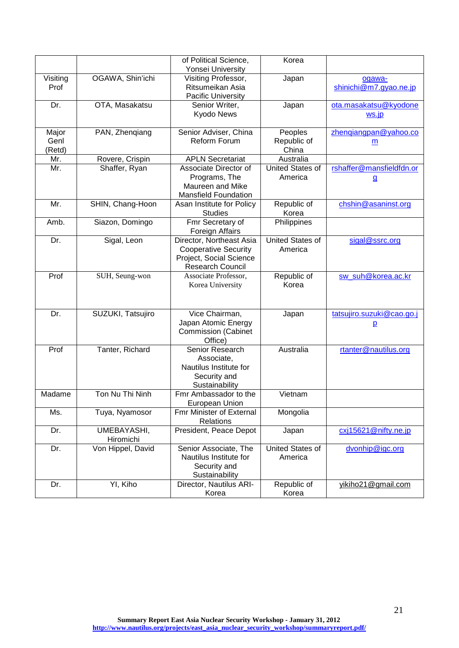| Yonsei University<br>OGAWA, Shin'ichi<br>Visiting<br>Visiting Professor,<br>Japan<br>ogawa-<br>Ritsumeikan Asia<br>shinichi@m7.gyao.ne.jp<br>Prof<br><b>Pacific University</b><br>OTA, Masakatsu<br>ota.masakatsu@kyodone<br>Dr.<br>Senior Writer,<br>Japan<br>Kyodo News<br>ws.jp<br>Senior Adviser, China<br>PAN, Zhenqiang<br>Peoples<br>zhengiangpan@yahoo.co<br>Major<br>Reform Forum<br>Genl<br>Republic of<br>m<br>China<br>(Retd)<br><b>APLN Secretariat</b><br>Australia<br>Mr.<br>Rovere, Crispin<br><b>United States of</b><br>Associate Director of<br>rshaffer@mansfieldfdn.or<br>Mr.<br>Shaffer, Ryan<br>Programs, The<br>America<br><u>g</u><br>Maureen and Mike<br><b>Mansfield Foundation</b><br>Mr.<br>Asan Institute for Policy<br>Republic of<br>chshin@asaninst.org<br>SHIN, Chang-Hoon<br><b>Studies</b><br>Korea<br>Fmr Secretary of<br>Amb.<br>Siazon, Domingo<br>Philippines<br>Foreign Affairs<br><b>United States of</b><br>Director, Northeast Asia<br>Dr.<br>Sigal, Leon<br>sigal@ssrc.org<br><b>Cooperative Security</b><br>America<br>Project, Social Science<br><b>Research Council</b><br>Prof<br>Republic of<br>sw_suh@korea.ac.kr<br>SUH, Seung-won<br>Associate Professor,<br>Korea University<br>Korea<br>Vice Chairman,<br>Dr.<br>SUZUKI, Tatsujiro<br>tatsujiro.suzuki@cao.go.j<br>Japan<br>Japan Atomic Energy<br>$\overline{p}$<br><b>Commission (Cabinet</b><br>Office)<br>Prof<br>Tanter, Richard<br>Senior Research<br>Australia<br>rtanter@nautilus.org<br>Associate,<br>Nautilus Institute for<br>Security and<br>Sustainability<br>Ton Nu Thi Ninh<br>Fmr Ambassador to the<br>Madame<br>Vietnam<br>European Union<br>Mongolia<br><b>Fmr Minister of External</b><br>Ms.<br>Tuya, Nyamosor<br>Relations<br>cxj15621@nifty.ne.jp<br>UMEBAYASHI,<br>President, Peace Depot<br>Dr.<br>Japan<br>Hiromichi<br>United States of<br>Von Hippel, David<br>Senior Associate, The<br>dvonhip@igc.org<br>Dr.<br>Nautilus Institute for<br>America<br>Security and |  | of Political Science, | Korea |  |
|-------------------------------------------------------------------------------------------------------------------------------------------------------------------------------------------------------------------------------------------------------------------------------------------------------------------------------------------------------------------------------------------------------------------------------------------------------------------------------------------------------------------------------------------------------------------------------------------------------------------------------------------------------------------------------------------------------------------------------------------------------------------------------------------------------------------------------------------------------------------------------------------------------------------------------------------------------------------------------------------------------------------------------------------------------------------------------------------------------------------------------------------------------------------------------------------------------------------------------------------------------------------------------------------------------------------------------------------------------------------------------------------------------------------------------------------------------------------------------------------------------------------------------------------------------------------------------------------------------------------------------------------------------------------------------------------------------------------------------------------------------------------------------------------------------------------------------------------------------------------------------------------------------------------------------------------------------------------------------------------------------|--|-----------------------|-------|--|
|                                                                                                                                                                                                                                                                                                                                                                                                                                                                                                                                                                                                                                                                                                                                                                                                                                                                                                                                                                                                                                                                                                                                                                                                                                                                                                                                                                                                                                                                                                                                                                                                                                                                                                                                                                                                                                                                                                                                                                                                       |  |                       |       |  |
|                                                                                                                                                                                                                                                                                                                                                                                                                                                                                                                                                                                                                                                                                                                                                                                                                                                                                                                                                                                                                                                                                                                                                                                                                                                                                                                                                                                                                                                                                                                                                                                                                                                                                                                                                                                                                                                                                                                                                                                                       |  |                       |       |  |
|                                                                                                                                                                                                                                                                                                                                                                                                                                                                                                                                                                                                                                                                                                                                                                                                                                                                                                                                                                                                                                                                                                                                                                                                                                                                                                                                                                                                                                                                                                                                                                                                                                                                                                                                                                                                                                                                                                                                                                                                       |  |                       |       |  |
|                                                                                                                                                                                                                                                                                                                                                                                                                                                                                                                                                                                                                                                                                                                                                                                                                                                                                                                                                                                                                                                                                                                                                                                                                                                                                                                                                                                                                                                                                                                                                                                                                                                                                                                                                                                                                                                                                                                                                                                                       |  |                       |       |  |
|                                                                                                                                                                                                                                                                                                                                                                                                                                                                                                                                                                                                                                                                                                                                                                                                                                                                                                                                                                                                                                                                                                                                                                                                                                                                                                                                                                                                                                                                                                                                                                                                                                                                                                                                                                                                                                                                                                                                                                                                       |  |                       |       |  |
|                                                                                                                                                                                                                                                                                                                                                                                                                                                                                                                                                                                                                                                                                                                                                                                                                                                                                                                                                                                                                                                                                                                                                                                                                                                                                                                                                                                                                                                                                                                                                                                                                                                                                                                                                                                                                                                                                                                                                                                                       |  |                       |       |  |
|                                                                                                                                                                                                                                                                                                                                                                                                                                                                                                                                                                                                                                                                                                                                                                                                                                                                                                                                                                                                                                                                                                                                                                                                                                                                                                                                                                                                                                                                                                                                                                                                                                                                                                                                                                                                                                                                                                                                                                                                       |  |                       |       |  |
|                                                                                                                                                                                                                                                                                                                                                                                                                                                                                                                                                                                                                                                                                                                                                                                                                                                                                                                                                                                                                                                                                                                                                                                                                                                                                                                                                                                                                                                                                                                                                                                                                                                                                                                                                                                                                                                                                                                                                                                                       |  |                       |       |  |
|                                                                                                                                                                                                                                                                                                                                                                                                                                                                                                                                                                                                                                                                                                                                                                                                                                                                                                                                                                                                                                                                                                                                                                                                                                                                                                                                                                                                                                                                                                                                                                                                                                                                                                                                                                                                                                                                                                                                                                                                       |  |                       |       |  |
|                                                                                                                                                                                                                                                                                                                                                                                                                                                                                                                                                                                                                                                                                                                                                                                                                                                                                                                                                                                                                                                                                                                                                                                                                                                                                                                                                                                                                                                                                                                                                                                                                                                                                                                                                                                                                                                                                                                                                                                                       |  |                       |       |  |
|                                                                                                                                                                                                                                                                                                                                                                                                                                                                                                                                                                                                                                                                                                                                                                                                                                                                                                                                                                                                                                                                                                                                                                                                                                                                                                                                                                                                                                                                                                                                                                                                                                                                                                                                                                                                                                                                                                                                                                                                       |  |                       |       |  |
|                                                                                                                                                                                                                                                                                                                                                                                                                                                                                                                                                                                                                                                                                                                                                                                                                                                                                                                                                                                                                                                                                                                                                                                                                                                                                                                                                                                                                                                                                                                                                                                                                                                                                                                                                                                                                                                                                                                                                                                                       |  |                       |       |  |
|                                                                                                                                                                                                                                                                                                                                                                                                                                                                                                                                                                                                                                                                                                                                                                                                                                                                                                                                                                                                                                                                                                                                                                                                                                                                                                                                                                                                                                                                                                                                                                                                                                                                                                                                                                                                                                                                                                                                                                                                       |  |                       |       |  |
|                                                                                                                                                                                                                                                                                                                                                                                                                                                                                                                                                                                                                                                                                                                                                                                                                                                                                                                                                                                                                                                                                                                                                                                                                                                                                                                                                                                                                                                                                                                                                                                                                                                                                                                                                                                                                                                                                                                                                                                                       |  |                       |       |  |
|                                                                                                                                                                                                                                                                                                                                                                                                                                                                                                                                                                                                                                                                                                                                                                                                                                                                                                                                                                                                                                                                                                                                                                                                                                                                                                                                                                                                                                                                                                                                                                                                                                                                                                                                                                                                                                                                                                                                                                                                       |  |                       |       |  |
|                                                                                                                                                                                                                                                                                                                                                                                                                                                                                                                                                                                                                                                                                                                                                                                                                                                                                                                                                                                                                                                                                                                                                                                                                                                                                                                                                                                                                                                                                                                                                                                                                                                                                                                                                                                                                                                                                                                                                                                                       |  |                       |       |  |
|                                                                                                                                                                                                                                                                                                                                                                                                                                                                                                                                                                                                                                                                                                                                                                                                                                                                                                                                                                                                                                                                                                                                                                                                                                                                                                                                                                                                                                                                                                                                                                                                                                                                                                                                                                                                                                                                                                                                                                                                       |  |                       |       |  |
|                                                                                                                                                                                                                                                                                                                                                                                                                                                                                                                                                                                                                                                                                                                                                                                                                                                                                                                                                                                                                                                                                                                                                                                                                                                                                                                                                                                                                                                                                                                                                                                                                                                                                                                                                                                                                                                                                                                                                                                                       |  |                       |       |  |
|                                                                                                                                                                                                                                                                                                                                                                                                                                                                                                                                                                                                                                                                                                                                                                                                                                                                                                                                                                                                                                                                                                                                                                                                                                                                                                                                                                                                                                                                                                                                                                                                                                                                                                                                                                                                                                                                                                                                                                                                       |  |                       |       |  |
|                                                                                                                                                                                                                                                                                                                                                                                                                                                                                                                                                                                                                                                                                                                                                                                                                                                                                                                                                                                                                                                                                                                                                                                                                                                                                                                                                                                                                                                                                                                                                                                                                                                                                                                                                                                                                                                                                                                                                                                                       |  |                       |       |  |
|                                                                                                                                                                                                                                                                                                                                                                                                                                                                                                                                                                                                                                                                                                                                                                                                                                                                                                                                                                                                                                                                                                                                                                                                                                                                                                                                                                                                                                                                                                                                                                                                                                                                                                                                                                                                                                                                                                                                                                                                       |  |                       |       |  |
|                                                                                                                                                                                                                                                                                                                                                                                                                                                                                                                                                                                                                                                                                                                                                                                                                                                                                                                                                                                                                                                                                                                                                                                                                                                                                                                                                                                                                                                                                                                                                                                                                                                                                                                                                                                                                                                                                                                                                                                                       |  |                       |       |  |
|                                                                                                                                                                                                                                                                                                                                                                                                                                                                                                                                                                                                                                                                                                                                                                                                                                                                                                                                                                                                                                                                                                                                                                                                                                                                                                                                                                                                                                                                                                                                                                                                                                                                                                                                                                                                                                                                                                                                                                                                       |  |                       |       |  |
|                                                                                                                                                                                                                                                                                                                                                                                                                                                                                                                                                                                                                                                                                                                                                                                                                                                                                                                                                                                                                                                                                                                                                                                                                                                                                                                                                                                                                                                                                                                                                                                                                                                                                                                                                                                                                                                                                                                                                                                                       |  |                       |       |  |
|                                                                                                                                                                                                                                                                                                                                                                                                                                                                                                                                                                                                                                                                                                                                                                                                                                                                                                                                                                                                                                                                                                                                                                                                                                                                                                                                                                                                                                                                                                                                                                                                                                                                                                                                                                                                                                                                                                                                                                                                       |  |                       |       |  |
|                                                                                                                                                                                                                                                                                                                                                                                                                                                                                                                                                                                                                                                                                                                                                                                                                                                                                                                                                                                                                                                                                                                                                                                                                                                                                                                                                                                                                                                                                                                                                                                                                                                                                                                                                                                                                                                                                                                                                                                                       |  |                       |       |  |
|                                                                                                                                                                                                                                                                                                                                                                                                                                                                                                                                                                                                                                                                                                                                                                                                                                                                                                                                                                                                                                                                                                                                                                                                                                                                                                                                                                                                                                                                                                                                                                                                                                                                                                                                                                                                                                                                                                                                                                                                       |  |                       |       |  |
|                                                                                                                                                                                                                                                                                                                                                                                                                                                                                                                                                                                                                                                                                                                                                                                                                                                                                                                                                                                                                                                                                                                                                                                                                                                                                                                                                                                                                                                                                                                                                                                                                                                                                                                                                                                                                                                                                                                                                                                                       |  |                       |       |  |
|                                                                                                                                                                                                                                                                                                                                                                                                                                                                                                                                                                                                                                                                                                                                                                                                                                                                                                                                                                                                                                                                                                                                                                                                                                                                                                                                                                                                                                                                                                                                                                                                                                                                                                                                                                                                                                                                                                                                                                                                       |  |                       |       |  |
|                                                                                                                                                                                                                                                                                                                                                                                                                                                                                                                                                                                                                                                                                                                                                                                                                                                                                                                                                                                                                                                                                                                                                                                                                                                                                                                                                                                                                                                                                                                                                                                                                                                                                                                                                                                                                                                                                                                                                                                                       |  |                       |       |  |
|                                                                                                                                                                                                                                                                                                                                                                                                                                                                                                                                                                                                                                                                                                                                                                                                                                                                                                                                                                                                                                                                                                                                                                                                                                                                                                                                                                                                                                                                                                                                                                                                                                                                                                                                                                                                                                                                                                                                                                                                       |  |                       |       |  |
|                                                                                                                                                                                                                                                                                                                                                                                                                                                                                                                                                                                                                                                                                                                                                                                                                                                                                                                                                                                                                                                                                                                                                                                                                                                                                                                                                                                                                                                                                                                                                                                                                                                                                                                                                                                                                                                                                                                                                                                                       |  |                       |       |  |
|                                                                                                                                                                                                                                                                                                                                                                                                                                                                                                                                                                                                                                                                                                                                                                                                                                                                                                                                                                                                                                                                                                                                                                                                                                                                                                                                                                                                                                                                                                                                                                                                                                                                                                                                                                                                                                                                                                                                                                                                       |  |                       |       |  |
|                                                                                                                                                                                                                                                                                                                                                                                                                                                                                                                                                                                                                                                                                                                                                                                                                                                                                                                                                                                                                                                                                                                                                                                                                                                                                                                                                                                                                                                                                                                                                                                                                                                                                                                                                                                                                                                                                                                                                                                                       |  |                       |       |  |
|                                                                                                                                                                                                                                                                                                                                                                                                                                                                                                                                                                                                                                                                                                                                                                                                                                                                                                                                                                                                                                                                                                                                                                                                                                                                                                                                                                                                                                                                                                                                                                                                                                                                                                                                                                                                                                                                                                                                                                                                       |  |                       |       |  |
|                                                                                                                                                                                                                                                                                                                                                                                                                                                                                                                                                                                                                                                                                                                                                                                                                                                                                                                                                                                                                                                                                                                                                                                                                                                                                                                                                                                                                                                                                                                                                                                                                                                                                                                                                                                                                                                                                                                                                                                                       |  |                       |       |  |
|                                                                                                                                                                                                                                                                                                                                                                                                                                                                                                                                                                                                                                                                                                                                                                                                                                                                                                                                                                                                                                                                                                                                                                                                                                                                                                                                                                                                                                                                                                                                                                                                                                                                                                                                                                                                                                                                                                                                                                                                       |  |                       |       |  |
|                                                                                                                                                                                                                                                                                                                                                                                                                                                                                                                                                                                                                                                                                                                                                                                                                                                                                                                                                                                                                                                                                                                                                                                                                                                                                                                                                                                                                                                                                                                                                                                                                                                                                                                                                                                                                                                                                                                                                                                                       |  |                       |       |  |
|                                                                                                                                                                                                                                                                                                                                                                                                                                                                                                                                                                                                                                                                                                                                                                                                                                                                                                                                                                                                                                                                                                                                                                                                                                                                                                                                                                                                                                                                                                                                                                                                                                                                                                                                                                                                                                                                                                                                                                                                       |  |                       |       |  |
|                                                                                                                                                                                                                                                                                                                                                                                                                                                                                                                                                                                                                                                                                                                                                                                                                                                                                                                                                                                                                                                                                                                                                                                                                                                                                                                                                                                                                                                                                                                                                                                                                                                                                                                                                                                                                                                                                                                                                                                                       |  |                       |       |  |
|                                                                                                                                                                                                                                                                                                                                                                                                                                                                                                                                                                                                                                                                                                                                                                                                                                                                                                                                                                                                                                                                                                                                                                                                                                                                                                                                                                                                                                                                                                                                                                                                                                                                                                                                                                                                                                                                                                                                                                                                       |  |                       |       |  |
|                                                                                                                                                                                                                                                                                                                                                                                                                                                                                                                                                                                                                                                                                                                                                                                                                                                                                                                                                                                                                                                                                                                                                                                                                                                                                                                                                                                                                                                                                                                                                                                                                                                                                                                                                                                                                                                                                                                                                                                                       |  |                       |       |  |
|                                                                                                                                                                                                                                                                                                                                                                                                                                                                                                                                                                                                                                                                                                                                                                                                                                                                                                                                                                                                                                                                                                                                                                                                                                                                                                                                                                                                                                                                                                                                                                                                                                                                                                                                                                                                                                                                                                                                                                                                       |  |                       |       |  |
|                                                                                                                                                                                                                                                                                                                                                                                                                                                                                                                                                                                                                                                                                                                                                                                                                                                                                                                                                                                                                                                                                                                                                                                                                                                                                                                                                                                                                                                                                                                                                                                                                                                                                                                                                                                                                                                                                                                                                                                                       |  | Sustainability        |       |  |
| YI, Kiho<br>Republic of<br>yikiho21@gmail.com<br>Dr.<br>Director, Nautilus ARI-                                                                                                                                                                                                                                                                                                                                                                                                                                                                                                                                                                                                                                                                                                                                                                                                                                                                                                                                                                                                                                                                                                                                                                                                                                                                                                                                                                                                                                                                                                                                                                                                                                                                                                                                                                                                                                                                                                                       |  |                       |       |  |
| Korea<br>Korea                                                                                                                                                                                                                                                                                                                                                                                                                                                                                                                                                                                                                                                                                                                                                                                                                                                                                                                                                                                                                                                                                                                                                                                                                                                                                                                                                                                                                                                                                                                                                                                                                                                                                                                                                                                                                                                                                                                                                                                        |  |                       |       |  |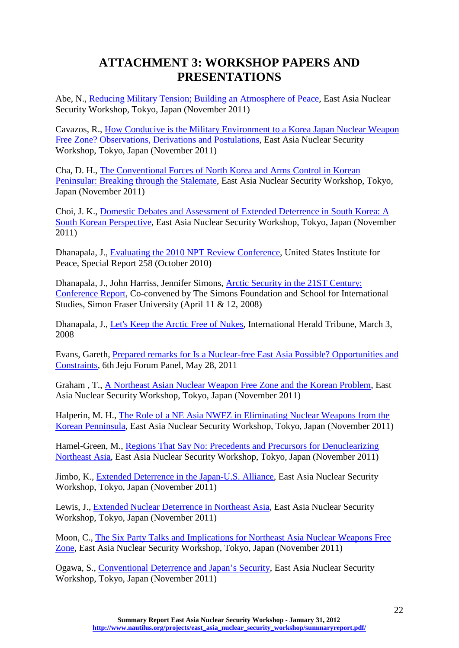# **ATTACHMENT 3: WORKSHOP PAPERS AND PRESENTATIONS**

<span id="page-22-0"></span>Abe, N., [Reducing Military Tension; Building an Atmosphere of Peace,](http://www.nautilus.org/projects/east_asia_nuclear_security_workshop/papers-and-presentations/ABE%20-%20Nautilus%20outline.pdf) East Asia Nuclear Security Workshop, Tokyo, Japan (November 2011)

Cavazos, R., [How Conducive is the Military Environment to a Korea Japan Nuclear Weapon](http://www.nautilus.org/projects/east_asia_nuclear_security_workshop/papers-and-presentations/Cavazos%20-%20%203rd%20VERSION%2011%20Nov%20Nautilus%20Confernce%20KJNWFZ%20Oct26-2011.pdf)  Free Zone? [Observations, Derivations and Postulations,](http://www.nautilus.org/projects/east_asia_nuclear_security_workshop/papers-and-presentations/Cavazos%20-%20%203rd%20VERSION%2011%20Nov%20Nautilus%20Confernce%20KJNWFZ%20Oct26-2011.pdf) East Asia Nuclear Security Workshop, Tokyo, Japan (November 2011)

Cha, D. H., [The Conventional Forces of North Korea and Arms Control in Korean](http://www.nautilus.org/projects/east_asia_nuclear_security_workshop/papers-and-presentations/Cha%20Du%20Hyeogn%20-%20Nautilus1111.ppt)  [Peninsular: Breaking through the Stalemate,](http://www.nautilus.org/projects/east_asia_nuclear_security_workshop/papers-and-presentations/Cha%20Du%20Hyeogn%20-%20Nautilus1111.ppt) East Asia Nuclear Security Workshop, Tokyo, Japan (November 2011)

Choi, J. K., [Domestic Debates and Assessment of Extended Deterrence in South Korea: A](http://www.nautilus.org/projects/east_asia_nuclear_security_workshop/papers-and-presentations/CHOI-%20Nautilus%20TOKYO%20MEETING_JKC.pdf)  [South Korean Perspective,](http://www.nautilus.org/projects/east_asia_nuclear_security_workshop/papers-and-presentations/CHOI-%20Nautilus%20TOKYO%20MEETING_JKC.pdf) East Asia Nuclear Security Workshop, Tokyo, Japan (November 2011)

Dhanapala, J., [Evaluating the 2010 NPT Review Conference,](http://www.nautilus.org/projects/east_asia_nuclear_security_workshop/papers-and-presentations/Dhanapala%20SR258%20-%20Evaluating%20the%202010%20NPT%20Review%20Conference.pdf) United States Institute for Peace, Special Report 258 (October 2010)

Dhanapala, J., John Harriss, Jennifer Simons, [Arctic Security in the 21ST Century:](http://www.nautilus.org/projects/east_asia_nuclear_security_workshop/papers-and-presentations/Dhanapala%20et%20al%20Arctic_Security_Conference%20NWFZ%202008.pdf)  [Conference Report,](http://www.nautilus.org/projects/east_asia_nuclear_security_workshop/papers-and-presentations/Dhanapala%20et%20al%20Arctic_Security_Conference%20NWFZ%202008.pdf) Co-convened by The Simons Foundation and School for International Studies, Simon Fraser University (April 11 & 12, 2008)

Dhanapala, J., [Let's Keep the Arctic Free of Nukes,](http://www.nautilus.org/projects/east_asia_nuclear_security_workshop/papers-and-presentations/Dhanapala%20-%20Lets%20keep%20the%20arctic%20free%20%202008.pdf) International Herald Tribune, March 3, 2008

Evans, Gareth, Prepared remarks for [Is a Nuclear-free East Asia Possible? Opportunities and](http://www.nautilus.org/projects/east_asia_nuclear_security_workshop/papers-and-presentations/jeju_panel_special_report_gareth_evans-2.pdf)  [Constraints,](http://www.nautilus.org/projects/east_asia_nuclear_security_workshop/papers-and-presentations/jeju_panel_special_report_gareth_evans-2.pdf) 6th Jeju Forum Panel, May 28, 2011

Graham , T., [A Northeast Asian Nuclear Weapon Free Zone and the Korean Problem,](http://www.nautilus.org/projects/east_asia_nuclear_security_workshop/papers-and-presentations/Graham%20-%20A%20NANW%20FreeZoneKorea.pdf) East Asia Nuclear Security Workshop, Tokyo, Japan (November 2011)

Halperin, M. H., [The Role of a NE Asia NWFZ in Eliminating Nuclear Weapons from the](http://www.nautilus.org/projects/east_asia_nuclear_security_workshop/papers-and-presentations/Halperin%20-%20UPDATED%20MMH%20TALK%20NWFZNEA%20CONF%20NOV%2017%20edit.pdf)  [Korean Penninsula,](http://www.nautilus.org/projects/east_asia_nuclear_security_workshop/papers-and-presentations/Halperin%20-%20UPDATED%20MMH%20TALK%20NWFZNEA%20CONF%20NOV%2017%20edit.pdf) East Asia Nuclear Security Workshop, Tokyo, Japan (November 2011)

Hamel-Green, M., [Regions That Say No: Precedents and Precursors for Denuclearizing](http://www.nautilus.org/projects/east_asia_nuclear_security_workshop/papers-and-presentations/Hamel-Green%20-%20TOKYONEANWFZPAPERvs5.pdf)  [Northeast Asia,](http://www.nautilus.org/projects/east_asia_nuclear_security_workshop/papers-and-presentations/Hamel-Green%20-%20TOKYONEANWFZPAPERvs5.pdf) East Asia Nuclear Security Workshop, Tokyo, Japan (November 2011)

Jimbo, K., [Extended Deterrence in the Japan-U.S. Alliance,](http://www.nautilus.org/projects/east_asia_nuclear_security_workshop/papers-and-presentations/JIMBO-%20Nautilus%20Extended%20Deterrence.pdf) East Asia Nuclear Security Workshop, Tokyo, Japan (November 2011)

Lewis, J., [Extended Nuclear Deterrence in Northeast Asia,](http://www.nautilus.org/projects/east_asia_nuclear_security_workshop/papers-and-presentations/Extended%20Nuclear%20Deterrence%20in%20Northeast%20Asia.pdf) East Asia Nuclear Security Workshop, Tokyo, Japan (November 2011)

Moon, C., [The Six Party Talks and Implications for Northeast Asia Nuclear Weapons Free](http://www.nautilus.org/projects/east_asia_nuclear_security_workshop/papers-and-presentations/MOON%20-%20manuscript%20NEA%20NWFZ%20111111%20draft.pdf)  [Zone,](http://www.nautilus.org/projects/east_asia_nuclear_security_workshop/papers-and-presentations/MOON%20-%20manuscript%20NEA%20NWFZ%20111111%20draft.pdf) East Asia Nuclear Security Workshop, Tokyo, Japan (November 2011)

Ogawa, S., [Conventional Deterrence and Japan's Security,](http://www.nautilus.org/projects/east_asia_nuclear_security_workshop/papers-and-presentations/Ogawa%20-%20Conventional%20Deterrence%20and%20Japans%20Security.pdf) East Asia Nuclear Security Workshop, Tokyo, Japan (November 2011)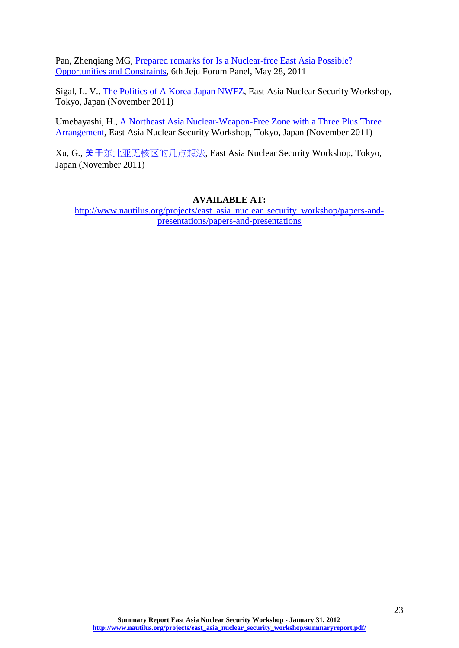Pan, Zhenqiang MG, Prepared remarks for [Is a Nuclear-free East Asia Possible?](http://www.nautilus.org/projects/east_asia_nuclear_security_workshop/papers-and-presentations/jeju_panel_special_report_mg_pan_zhenqiang-28retired-29-2.pdf)  [Opportunities and Constraints,](http://www.nautilus.org/projects/east_asia_nuclear_security_workshop/papers-and-presentations/jeju_panel_special_report_mg_pan_zhenqiang-28retired-29-2.pdf) 6th Jeju Forum Panel, May 28, 2011

Sigal, L. V., [The Politics of A Korea-Japan NWFZ,](http://www.nautilus.org/projects/east_asia_nuclear_security_workshop/papers-and-presentations/Leon%20V.%20Sigal%20-%20NWFZ%20TOKYO.pdf) East Asia Nuclear Security Workshop, Tokyo, Japan (November 2011)

Umebayashi, H., [A Northeast Asia Nuclear-Weapon-Free Zone with a Three Plus Three](http://www.nautilus.org/projects/east_asia_nuclear_security_workshop/papers-and-presentations/UMEBAYASHI%20-%20A%20NEA-NWFZ%20with%203-3%20Arrangement%20_2011-%20Tokyo_.pdf)  [Arrangement,](http://www.nautilus.org/projects/east_asia_nuclear_security_workshop/papers-and-presentations/UMEBAYASHI%20-%20A%20NEA-NWFZ%20with%203-3%20Arrangement%20_2011-%20Tokyo_.pdf) East Asia Nuclear Security Workshop, Tokyo, Japan (November 2011)

Xu, G., 关于[东北亚无核区的几点想法](http://www.nautilus.org/projects/east_asia_nuclear_security_workshop/papers-and-presentations/Xu%20Guangyu%20-%20_______________-______.pdf), East Asia Nuclear Security Workshop, Tokyo, Japan (November 2011)

### **AVAILABLE AT:**

[http://www.nautilus.org/projects/east\\_asia\\_nuclear\\_security\\_workshop/papers-and](http://www.nautilus.org/projects/east_asia_nuclear_security_workshop/papers-and-presentations/papers-and-presentations)[presentations/papers-and-presentations](http://www.nautilus.org/projects/east_asia_nuclear_security_workshop/papers-and-presentations/papers-and-presentations)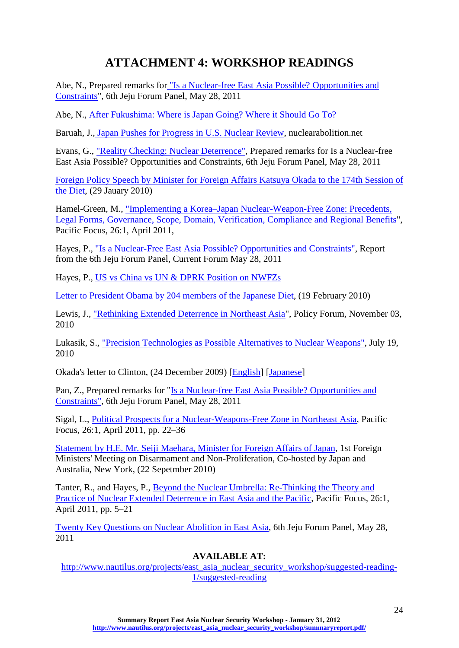# **ATTACHMENT 4: WORKSHOP READINGS**

<span id="page-24-0"></span>Abe, N., Prepared remarks for ["Is a Nuclear-free East Asia Possible? Opportunities and](http://www.nautilus.org/projects/publications/essays/napsnet/reports/attachment-e-responses-from-ambassador-nobuyasu-abe)  [Constraints"](http://www.nautilus.org/projects/publications/essays/napsnet/reports/attachment-e-responses-from-ambassador-nobuyasu-abe), 6th Jeju Forum Panel, May 28, 2011

Abe, N., [After Fukushima: Where is Japan Going? Where it Should Go To?](http://www.nautilus.org/projects/east_asia_nuclear_security_workshop/suggested-reading-1/ABE-%20AFTER%20FUKUSHIMA.pdf)

Baruah, J., [Japan Pushes for Progress in U.S. Nuclear Review,](http://www.nuclearabolition.net/index.php?option=com_content&view=article&id=8:japan-pushes-for-progress-in-us-nuclear-review&catid=1:news) nuclearabolition.net

Evans, G., ["Reality Checking: Nuclear Deterrence",](http://www.nautilus.org/publications/essays/napsnet/reports/attachment-d-responses-from-gareth-evans) Prepared remarks for Is a Nuclear-free East Asia Possible? Opportunities and Constraints, 6th Jeju Forum Panel, May 28, 2011

[Foreign Policy Speech by Minister for Foreign Affairs Katsuya Okada to the 174th Session of](http://www.mofa.go.jp/announce/fm/okada/speech1001.html)  [the Diet,](http://www.mofa.go.jp/announce/fm/okada/speech1001.html) (29 Jauary 2010)

Hamel-Green, M., ["Implementing a Korea–Japan Nuclear-Weapon-Free Zone: Precedents,](http://onlinelibrary.wiley.com/doi/10.1111/j.1976-5118.2011.01057.x/abstract)  [Legal Forms, Governance, Scope, Domain, Verification, Compliance and Regional Benefits"](http://onlinelibrary.wiley.com/doi/10.1111/j.1976-5118.2011.01057.x/abstract), Pacific Focus, 26:1, April 2011,

Hayes, P., ["Is a Nuclear-Free East Asia Possible? Opportunities and Constraints",](http://globalasia.org/Global_Asia_Forum/Peter_Hayes.html?PHPSESSID=dd86e60b7b6ec2232d9a7d81a2e3f233) Report from the 6th Jeju Forum Panel, Current Forum May 28, 2011

Hayes, P., [US vs China vs UN & DPRK Position on NWFZs](http://www.nautilus.org/projects/east_asia_nuclear_security_workshop/suggested-reading-1/US%20vs%20China%20vs%20UN%20-%20DPRK%20Position%20on%20NWFZs.pdf)

[Letter to President Obama by 204 members of the Japanese Diet,](http://www.cnic.jp/english/topics/proliferation/campaign/nfu/obamaletter19feb10.pdf) (19 February 2010)

Lewis, J., ["Rethinking Extended Deterrence in Northeast Asia"](http://www.nautilus.org/projects/publications/essays/napsnet/forum/2009-2010/rethinking-extended-deterrence), Policy Forum, November 03, 2010

Lukasik, S., ["Precision Technologies as Possible Alternatives to Nuclear Weapons",](http://www.npolicy.org/article.php?aid=136&rtid=2) July 19, 2010

Okada's letter to Clinton, (24 December 2009) [\[English\]](http://icnndngojapan.files.wordpress.com/2010/01/20091224_okada_letter_en.pdf) [\[Japanese\]](http://www.mofa.go.jp/mofaj/press/kaiken/gaisho/pdfs/g_1001_01.pdf)

Pan, Z., Prepared remarks for ["Is a Nuclear-free East Asia Possible? Opportunities and](http://www.nautilus.org/projects/publications/essays/napsnet/reports/attachment-c-responses-from-mg-pan-zhenqiang)  [Constraints",](http://www.nautilus.org/projects/publications/essays/napsnet/reports/attachment-c-responses-from-mg-pan-zhenqiang) 6th Jeju Forum Panel, May 28, 2011

Sigal, L., [Political Prospects for a Nuclear-Weapons-Free Zone in Northeast Asia,](http://onlinelibrary.wiley.com/doi/10.1111/j.1976-5118.2011.01054.x/abstract) Pacific Focus, 26:1, April 2011, pp. 22–36

[Statement by H.E. Mr. Seiji Maehara, Minister for Foreign Affairs of Japan,](http://www.mofa.go.jp/policy/un/disarmament/arms/statement100922.html) 1st Foreign Ministers' Meeting on Disarmament and Non-Proliferation, Co-hosted by Japan and Australia, New York, (22 Sepetmber 2010)

Tanter, R., and Hayes, P., [Beyond the Nuclear Umbrella: Re-Thinking the Theory and](http://onlinelibrary.wiley.com/doi/10.1111/j.1976-5118.2011.01053.x/abstract)  [Practice of Nuclear Extended Deterrence in East Asia and the Pacific,](http://onlinelibrary.wiley.com/doi/10.1111/j.1976-5118.2011.01053.x/abstract) Pacific Focus, 26:1, April 2011, pp. 5–21

[Twenty Key Questions on Nuclear Abolition in East Asia,](http://www.nautilus.org/projects/publications/essays/napsnet/reports/attachment-a-twenty-key-questions-on-nuclear-abolition-in-east-asia) 6th Jeju Forum Panel, May 28, 2011

## **AVAILABLE AT:**

[http://www.nautilus.org/projects/east\\_asia\\_nuclear\\_security\\_workshop/suggested-reading-](http://www.nautilus.org/projects/east_asia_nuclear_security_workshop/suggested-reading-1/suggested-reading)[1/suggested-reading](http://www.nautilus.org/projects/east_asia_nuclear_security_workshop/suggested-reading-1/suggested-reading)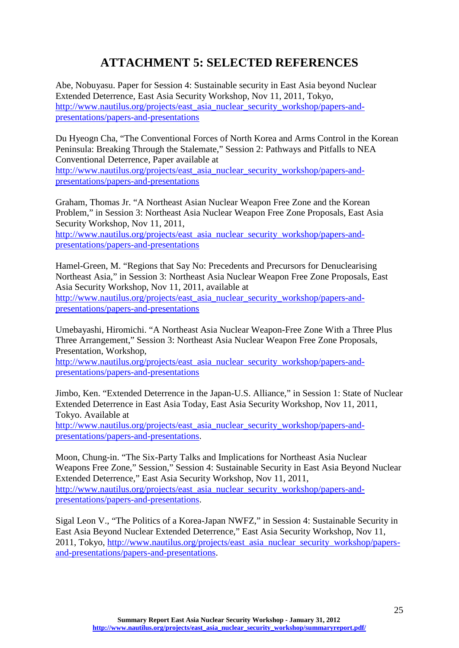# **ATTACHMENT 5: SELECTED REFERENCES**

<span id="page-25-0"></span>Abe, Nobuyasu. Paper for Session 4: Sustainable security in East Asia beyond Nuclear Extended Deterrence, East Asia Security Workshop, Nov 11, 2011, Tokyo, [http://www.nautilus.org/projects/east\\_asia\\_nuclear\\_security\\_workshop/papers-and](http://www.nautilus.org/projects/east_asia_nuclear_security_workshop/papers-and-presentations/papers-and-presentations)[presentations/papers-and-presentations](http://www.nautilus.org/projects/east_asia_nuclear_security_workshop/papers-and-presentations/papers-and-presentations)

Du Hyeogn Cha, "The Conventional Forces of North Korea and Arms Control in the Korean Peninsula: Breaking Through the Stalemate," Session 2: Pathways and Pitfalls to NEA Conventional Deterrence, Paper available at

[http://www.nautilus.org/projects/east\\_asia\\_nuclear\\_security\\_workshop/papers-and](http://www.nautilus.org/projects/east_asia_nuclear_security_workshop/papers-and-presentations/papers-and-presentations)[presentations/papers-and-presentations](http://www.nautilus.org/projects/east_asia_nuclear_security_workshop/papers-and-presentations/papers-and-presentations)

Graham, Thomas Jr. "A Northeast Asian Nuclear Weapon Free Zone and the Korean Problem," in Session 3: Northeast Asia Nuclear Weapon Free Zone Proposals, East Asia Security Workshop, Nov 11, 2011,

[http://www.nautilus.org/projects/east\\_asia\\_nuclear\\_security\\_workshop/papers-and](http://www.nautilus.org/projects/east_asia_nuclear_security_workshop/papers-and-presentations/papers-and-presentations)[presentations/papers-and-presentations](http://www.nautilus.org/projects/east_asia_nuclear_security_workshop/papers-and-presentations/papers-and-presentations)

Hamel-Green, M. "Regions that Say No: Precedents and Precursors for Denuclearising Northeast Asia," in Session 3: Northeast Asia Nuclear Weapon Free Zone Proposals, East Asia Security Workshop, Nov 11, 2011, available at

[http://www.nautilus.org/projects/east\\_asia\\_nuclear\\_security\\_workshop/papers-and](http://www.nautilus.org/projects/east_asia_nuclear_security_workshop/papers-and-presentations/papers-and-presentations)[presentations/papers-and-presentations](http://www.nautilus.org/projects/east_asia_nuclear_security_workshop/papers-and-presentations/papers-and-presentations)

Umebayashi, Hiromichi. "A Northeast Asia Nuclear Weapon-Free Zone With a Three Plus Three Arrangement," Session 3: Northeast Asia Nuclear Weapon Free Zone Proposals, Presentation, Workshop,

[http://www.nautilus.org/projects/east\\_asia\\_nuclear\\_security\\_workshop/papers-and](http://www.nautilus.org/projects/east_asia_nuclear_security_workshop/papers-and-presentations/papers-and-presentations)[presentations/papers-and-presentations](http://www.nautilus.org/projects/east_asia_nuclear_security_workshop/papers-and-presentations/papers-and-presentations)

Jimbo, Ken. "Extended Deterrence in the Japan-U.S. Alliance," in Session 1: State of Nuclear Extended Deterrence in East Asia Today, East Asia Security Workshop, Nov 11, 2011, Tokyo. Available at

[http://www.nautilus.org/projects/east\\_asia\\_nuclear\\_security\\_workshop/papers-and](http://www.nautilus.org/projects/east_asia_nuclear_security_workshop/papers-and-presentations/papers-and-presentations)[presentations/papers-and-presentations.](http://www.nautilus.org/projects/east_asia_nuclear_security_workshop/papers-and-presentations/papers-and-presentations)

Moon, Chung-in. "The Six-Party Talks and Implications for Northeast Asia Nuclear Weapons Free Zone," Session," Session 4: Sustainable Security in East Asia Beyond Nuclear Extended Deterrence," East Asia Security Workshop, Nov 11, 2011, [http://www.nautilus.org/projects/east\\_asia\\_nuclear\\_security\\_workshop/papers-and](http://www.nautilus.org/projects/east_asia_nuclear_security_workshop/papers-and-presentations/papers-and-presentations)[presentations/papers-and-presentations.](http://www.nautilus.org/projects/east_asia_nuclear_security_workshop/papers-and-presentations/papers-and-presentations)

Sigal Leon V., "The Politics of a Korea-Japan NWFZ," in Session 4: Sustainable Security in East Asia Beyond Nuclear Extended Deterrence," East Asia Security Workshop, Nov 11, 2011, Tokyo, [http://www.nautilus.org/projects/east\\_asia\\_nuclear\\_security\\_workshop/papers](http://www.nautilus.org/projects/east_asia_nuclear_security_workshop/papers-and-presentations/papers-and-presentations)[and-presentations/papers-and-presentations.](http://www.nautilus.org/projects/east_asia_nuclear_security_workshop/papers-and-presentations/papers-and-presentations)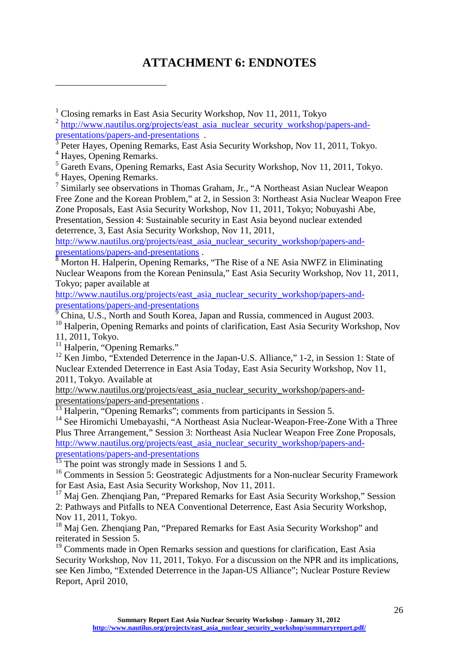# **ATTACHMENT 6: ENDNOTES**

- Peter Hayes, Opening Remarks, East Asia Security Workshop, Nov 11, 2011, Tokyo.
- <span id="page-26-4"></span><span id="page-26-3"></span><sup>4</sup> Hayes, Opening Remarks.
- <span id="page-26-5"></span><sup>5</sup> Gareth Evans, Opening Remarks, East Asia Security Workshop, Nov 11, 2011, Tokyo.

<span id="page-26-6"></span><sup>6</sup> Hayes, Opening Remarks.

<span id="page-26-1"></span>-

<span id="page-26-7"></span><sup>7</sup> Similarly see observations in Thomas Graham, Jr., "A Northeast Asian Nuclear Weapon Free Zone and the Korean Problem," at 2, in Session 3: Northeast Asia Nuclear Weapon Free Zone Proposals, East Asia Security Workshop, Nov 11, 2011, Tokyo; Nobuyashi Abe, Presentation, Session 4: Sustainable security in East Asia beyond nuclear extended deterrence, 3, East Asia Security Workshop, Nov 11, 2011,

http://www.nautilus.org/projects/east\_asia\_nuclear\_security\_workshop/papers-and-<br>presentations/papers-and-presentations

<span id="page-26-8"></span> $\frac{1}{8}$  Morton H. Halperin, Opening Remarks, "The Rise of a NE Asia NWFZ in Eliminating Nuclear Weapons from the Korean Peninsula," East Asia Security Workshop, Nov 11, 2011, Tokyo; paper available at

[http://www.nautilus.org/projects/east\\_asia\\_nuclear\\_security\\_workshop/papers-and](http://www.nautilus.org/projects/east_asia_nuclear_security_workshop/papers-and-presentations/papers-and-presentations)[presentations/papers-and-presentations](http://www.nautilus.org/projects/east_asia_nuclear_security_workshop/papers-and-presentations/papers-and-presentations)

<span id="page-26-9"></span><sup>9</sup> China, U.S., North and South Korea, Japan and Russia, commenced in August 2003.

<span id="page-26-10"></span><sup>10</sup> Halperin, Opening Remarks and points of clarification, East Asia Security Workshop, Nov 11, 2011, Tokyo.

<span id="page-26-11"></span> $11$  Halperin, "Opening Remarks."

<span id="page-26-12"></span> $12$  Ken Jimbo, "Extended Deterrence in the Japan-U.S. Alliance," 1-2, in Session 1: State of Nuclear Extended Deterrence in East Asia Today, East Asia Security Workshop, Nov 11, 2011, Tokyo. Available at

[http://www.nautilus.org/projects/east\\_asia\\_nuclear\\_security\\_workshop/papers-and-](http://www.nautilus.org/projects/east_asia_nuclear_security_workshop/papers-and-presentations/papers-and-presentations)

presentations/papers-and-presentations .<br><sup>[13](http://www.nautilus.org/projects/east_asia_nuclear_security_workshop/papers-and-presentations/papers-and-presentations)</sup> Halperin, "Opening Remarks"; comments from participants in Session 5.

<span id="page-26-14"></span><span id="page-26-13"></span><sup>14</sup> See Hiromichi Umebayashi, "A Northeast Asia Nuclear-Weapon-Free-Zone With a Three Plus Three Arrangement," Session 3: Northeast Asia Nuclear Weapon Free Zone Proposals, [http://www.nautilus.org/projects/east\\_asia\\_nuclear\\_security\\_workshop/papers-and](http://www.nautilus.org/projects/east_asia_nuclear_security_workshop/papers-and-presentations/papers-and-presentations)[presentations/papers-and-presentations](http://www.nautilus.org/projects/east_asia_nuclear_security_workshop/papers-and-presentations/papers-and-presentations)

<sup>15</sup> The point was strongly made in Sessions 1 and 5.

<span id="page-26-16"></span><span id="page-26-15"></span><sup>16</sup> Comments in Session 5: Geostrategic Adjustments for a Non-nuclear Security Framework for East Asia, East Asia Security Workshop, Nov 11, 2011.

<span id="page-26-17"></span><sup>17</sup> Maj Gen. Zhenqiang Pan, "Prepared Remarks for East Asia Security Workshop," Session 2: Pathways and Pitfalls to NEA Conventional Deterrence, East Asia Security Workshop, Nov 11, 2011, Tokyo.

<span id="page-26-18"></span><sup>18</sup> Maj Gen. Zhengiang Pan, "Prepared Remarks for East Asia Security Workshop" and reiterated in Session 5.

<span id="page-26-19"></span><sup>19</sup> Comments made in Open Remarks session and questions for clarification, East Asia Security Workshop, Nov 11, 2011, Tokyo. For a discussion on the NPR and its implications, see Ken Jimbo, "Extended Deterrence in the Japan-US Alliance"; Nuclear Posture Review Report, April 2010,

<span id="page-26-0"></span><sup>&</sup>lt;sup>1</sup> Closing remarks in East Asia Security Workshop, Nov 11, 2011, Tokyo

<span id="page-26-2"></span> $\frac{2 \text{ http://www.nautilus.org/projects/east\_asia\_nuclear\_security\_workshop/papers-and-presentations/paper-and-presentations/paper-and-presentations}$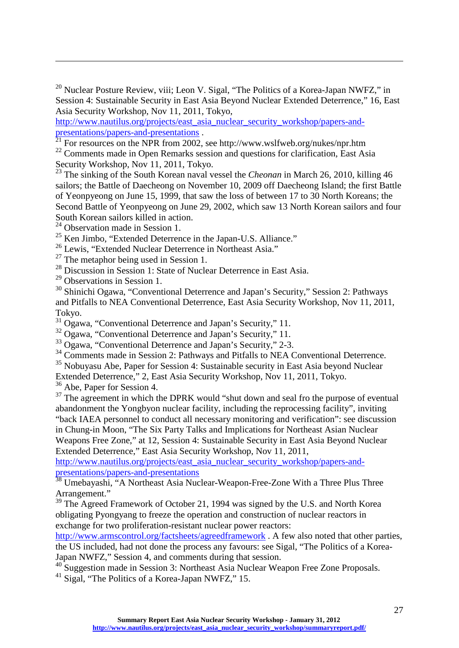<span id="page-27-0"></span> $20$  Nuclear Posture Review, viii; Leon V. Sigal, "The Politics of a Korea-Japan NWFZ," in Session 4: Sustainable Security in East Asia Beyond Nuclear Extended Deterrence," 16, East Asia Security Workshop, Nov 11, 2011, Tokyo,

[http://www.nautilus.org/projects/east\\_asia\\_nuclear\\_security\\_workshop/papers-and-](http://www.nautilus.org/projects/east_asia_nuclear_security_workshop/papers-and-presentations/papers-and-presentations)presentations/papers-and-presentations .<br><sup>[21](http://www.nautilus.org/projects/east_asia_nuclear_security_workshop/papers-and-presentations/papers-and-presentations)</sup> For resources on the NPR from 2002, see http://www.wslfweb.org/nukes/npr.htm

<span id="page-27-2"></span><span id="page-27-1"></span> $22$  Comments made in Open Remarks session and questions for clarification, East Asia Security Workshop, Nov 11, 2011, Tokyo.

<span id="page-27-3"></span><sup>23</sup> The sinking of the South Korean naval vessel the *Cheonan* in March 26, 2010, killing 46 sailors; the Battle of Daecheong on November 10, 2009 off Daecheong Island; the first Battle of Yeonpyeong on June 15, 1999, that saw the loss of between 17 to 30 North Koreans; the Second Battle of Yeonpyeong on June 29, 2002, which saw 13 North Korean sailors and four South Korean sailors killed in action.

 $24$  Observation made in Session 1.

<span id="page-27-5"></span><span id="page-27-4"></span><sup>25</sup> Ken Jimbo, "Extended Deterrence in the Japan-U.S. Alliance."

<sup>26</sup> Lewis, "Extended Nuclear Deterrence in Northeast Asia."

<span id="page-27-7"></span><span id="page-27-6"></span> $27$  The metaphor being used in Session 1.

<span id="page-27-8"></span><sup>28</sup> Discussion in Session 1: State of Nuclear Deterrence in East Asia.

<span id="page-27-9"></span><sup>29</sup> Observations in Session 1.

-

<span id="page-27-10"></span><sup>30</sup> Shinichi Ogawa, "Conventional Deterrence and Japan's Security," Session 2: Pathways and Pitfalls to NEA Conventional Deterrence, East Asia Security Workshop, Nov 11, 2011, Tokyo.<br><sup>31</sup> Ogawa, "Conventional Deterrence and Japan's Security," 11.

<span id="page-27-12"></span><span id="page-27-11"></span> $32$  Ogawa, "Conventional Deterrence and Japan's Security," 11.

<span id="page-27-13"></span><sup>33</sup> Ogawa, "Conventional Deterrence and Japan's Security," 2-3.

<span id="page-27-14"></span><sup>34</sup> Comments made in Session 2: Pathways and Pitfalls to NEA Conventional Deterrence.

<span id="page-27-15"></span><sup>35</sup> Nobuyasu Abe, Paper for Session 4: Sustainable security in East Asia beyond Nuclear Extended Deterrence," 2, East Asia Security Workshop, Nov 11, 2011, Tokyo.

<span id="page-27-16"></span> $36$  Abe, Paper for Session 4.

<span id="page-27-17"></span><sup>37</sup> The agreement in which the DPRK would "shut down and seal fro the purpose of eventual abandonment the Yongbyon nuclear facility, including the reprocessing facility", inviting "back IAEA personnel to conduct all necessary monitoring and verification": see discussion in Chung-in Moon, "The Six Party Talks and Implications for Northeast Asian Nuclear Weapons Free Zone," at 12, Session 4: Sustainable Security in East Asia Beyond Nuclear Extended Deterrence," East Asia Security Workshop, Nov 11, 2011,

[http://www.nautilus.org/projects/east\\_asia\\_nuclear\\_security\\_workshop/papers-and](http://www.nautilus.org/projects/east_asia_nuclear_security_workshop/papers-and-presentations/papers-and-presentations)[presentations/papers-and-presentations](http://www.nautilus.org/projects/east_asia_nuclear_security_workshop/papers-and-presentations/papers-and-presentations)

<span id="page-27-18"></span><sup>38</sup> Umebayashi, "A Northeast Asia Nuclear-Weapon-Free-Zone With a Three Plus Three Arrangement."

<span id="page-27-19"></span><sup>39</sup> The Agreed Framework of October 21, 1994 was signed by the U.S. and North Korea obligating Pyongyang to freeze the operation and construction of nuclear reactors in exchange for two proliferation-resistant nuclear power reactors:

<http://www.armscontrol.org/factsheets/agreedframework> . A few also noted that other parties, the US included, had not done the process any favours: see Sigal, "The Politics of a Korea-Japan NWFZ," Session 4, and comments during that session.

<span id="page-27-20"></span><sup>40</sup> Suggestion made in Session 3: Northeast Asia Nuclear Weapon Free Zone Proposals.

<span id="page-27-21"></span><sup>41</sup> Sigal, "The Politics of a Korea-Japan NWFZ," 15.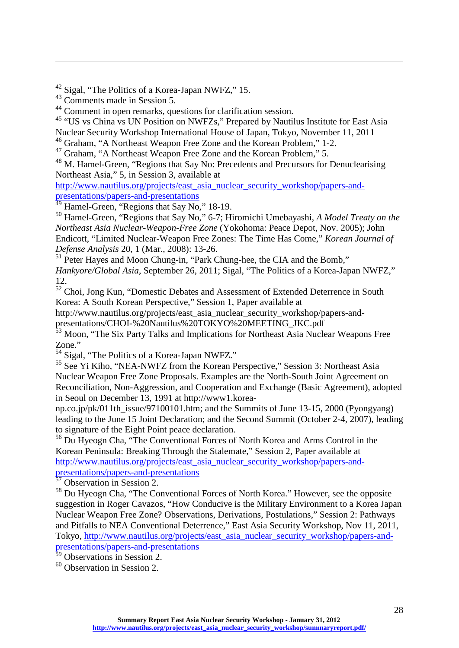<span id="page-28-0"></span><sup>42</sup> Sigal, "The Politics of a Korea-Japan NWFZ," 15.

<span id="page-28-1"></span><sup>43</sup> Comments made in Session 5.

-

<span id="page-28-2"></span>44 Comment in open remarks, questions for clarification session.

<span id="page-28-3"></span><sup>45</sup> "US vs China vs UN Position on NWFZs," Prepared by Nautilus Institute for East Asia Nuclear Security Workshop International House of Japan, Tokyo, November 11, 2011

<span id="page-28-4"></span><sup>46</sup> Graham, "A Northeast Weapon Free Zone and the Korean Problem," 1-2.

<span id="page-28-5"></span><sup>47</sup> Graham, "A Northeast Weapon Free Zone and the Korean Problem," 5.

<span id="page-28-6"></span><sup>48</sup> M. Hamel-Green, "Regions that Say No: Precedents and Precursors for Denuclearising Northeast Asia," 5, in Session 3, available at

[http://www.nautilus.org/projects/east\\_asia\\_nuclear\\_security\\_workshop/papers-and](http://www.nautilus.org/projects/east_asia_nuclear_security_workshop/papers-and-presentations/papers-and-presentations)[presentations/papers-and-presentations](http://www.nautilus.org/projects/east_asia_nuclear_security_workshop/papers-and-presentations/papers-and-presentations)<br>
<sup>49</sup> Homal C

Hamel-Green, "Regions that Say No," 18-19.

<span id="page-28-8"></span><span id="page-28-7"></span><sup>50</sup> Hamel-Green, "Regions that Say No," 6-7; Hiromichi Umebayashi, *A Model Treaty on the Northeast Asia Nuclear-Weapon-Free Zone* (Yokohoma: Peace Depot, Nov. 2005); John Endicott, "Limited Nuclear-Weapon Free Zones: The Time Has Come," *Korean Journal of Defense Analysis* 20, 1 (Mar., 2008): 13-26.

<span id="page-28-9"></span><sup>51</sup> Peter Hayes and Moon Chung-in, "Park Chung-hee, the CIA and the Bomb," *Hankyore/Global Asia*, September 26, 2011; Sigal, "The Politics of a Korea-Japan NWFZ," 12.

<span id="page-28-10"></span><sup>52</sup> Choi, Jong Kun, "Domestic Debates and Assessment of Extended Deterrence in South [Korea: A South Korean Perspective,](http://www.nautilus.org/projects/east_asia_nuclear_security_workshop/papers-and-presentations/CHOI-%20Nautilus%20TOKYO%20MEETING_JKC.pdf)" Session 1, Paper available at

[http://www.nautilus.org/projects/east\\_asia\\_nuclear\\_security\\_workshop/papers-and](http://www.nautilus.org/projects/east_asia_nuclear_security_workshop/papers-and-presentations/CHOI-%20Nautilus%20TOKYO%20MEETING_JKC.pdf)[presentations/CHOI-%20Nautilus%20TOKYO%20MEETING\\_JKC.pdf](http://www.nautilus.org/projects/east_asia_nuclear_security_workshop/papers-and-presentations/CHOI-%20Nautilus%20TOKYO%20MEETING_JKC.pdf)

<span id="page-28-11"></span><sup>53</sup> Moon, "The Six Party Talks and Implications for Northeast Asia Nuclear Weapons Free Zone."

<span id="page-28-12"></span><sup>54</sup> Sigal, "The Politics of a Korea-Japan NWFZ."

<span id="page-28-13"></span><sup>55</sup> See Yi Kiho, "NEA-NWFZ from the Korean Perspective," Session 3: Northeast Asia Nuclear Weapon Free Zone Proposals. Examples are the North-South Joint Agreement on Reconciliation, Non-Aggression, and Cooperation and Exchange (Basic Agreement), adopted in Seoul on December 13, 1991 at [http://www1.korea-](http://www1.korea-np.co.jp/pk/011th_issue/97100101.htm)

[np.co.jp/pk/011th\\_issue/97100101.htm;](http://www1.korea-np.co.jp/pk/011th_issue/97100101.htm) and the Summits of June 13-15, 2000 (Pyongyang) leading to the June 15 Joint Declaration; and the Second Summit (October 2-4, 2007), leading to signature of the Eight Point peace declaration.

<span id="page-28-14"></span><sup>56</sup> Du Hyeogn Cha, "The Conventional Forces of North Korea and Arms Control in the Korean Peninsula: Breaking Through the Stalemate," Session 2, Paper available at [http://www.nautilus.org/projects/east\\_asia\\_nuclear\\_security\\_workshop/papers-and](http://www.nautilus.org/projects/east_asia_nuclear_security_workshop/papers-and-presentations/papers-and-presentations)[presentations/papers-and-presentations](http://www.nautilus.org/projects/east_asia_nuclear_security_workshop/papers-and-presentations/papers-and-presentations)

<sup>57</sup> Observation in Session 2.

<span id="page-28-16"></span><span id="page-28-15"></span><sup>58</sup> Du Hyeogn Cha, "The Conventional Forces of North Korea." However, see the opposite suggestion in Roger Cavazos, "How Conducive is the Military Environment to a Korea Japan Nuclear Weapon Free Zone? Observations, Derivations, Postulations," Session 2: Pathways and Pitfalls to NEA Conventional Deterrence," East Asia Security Workshop, Nov 11, 2011, Tokyo, [http://www.nautilus.org/projects/east\\_asia\\_nuclear\\_security\\_workshop/papers-and](http://www.nautilus.org/projects/east_asia_nuclear_security_workshop/papers-and-presentations/papers-and-presentations)[presentations/papers-and-presentations](http://www.nautilus.org/projects/east_asia_nuclear_security_workshop/papers-and-presentations/papers-and-presentations)

<span id="page-28-18"></span><span id="page-28-17"></span><sup>60</sup> Observation in Session 2.

<sup>&</sup>lt;sup>59</sup> Observations in Session 2.